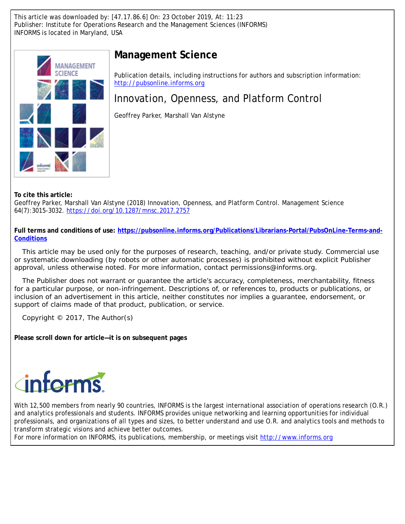This article was downloaded by: [47.17.86.6] On: 23 October 2019, At: 11:23 Publisher: Institute for Operations Research and the Management Sciences (INFORMS) INFORMS is located in Maryland, USA



# **Management Science**

Publication details, including instructions for authors and subscription information: <http://pubsonline.informs.org>

# Innovation, Openness, and Platform Control

Geoffrey Parker, Marshall Van Alstyne

**To cite this article:**

Geoffrey Parker, Marshall Van Alstyne (2018) Innovation, Openness, and Platform Control. Management Science 64(7):3015-3032. <https://doi.org/10.1287/mnsc.2017.2757>

**Full terms and conditions of use: [https://pubsonline.informs.org/Publications/Librarians-Portal/PubsOnLine-Terms-and-](https://pubsonline.informs.org/Publications/Librarians-Portal/PubsOnLine-Terms-and-Conditions)[Conditions](https://pubsonline.informs.org/Publications/Librarians-Portal/PubsOnLine-Terms-and-Conditions)**

This article may be used only for the purposes of research, teaching, and/or private study. Commercial use or systematic downloading (by robots or other automatic processes) is prohibited without explicit Publisher approval, unless otherwise noted. For more information, contact permissions@informs.org.

The Publisher does not warrant or guarantee the article's accuracy, completeness, merchantability, fitness for a particular purpose, or non-infringement. Descriptions of, or references to, products or publications, or inclusion of an advertisement in this article, neither constitutes nor implies a guarantee, endorsement, or support of claims made of that product, publication, or service.

Copyright © 2017, The Author(s)

**Please scroll down for article—it is on subsequent pages**

# torms

With 12,500 members from nearly 90 countries, INFORMS is the largest international association of operations research (O.R.) and analytics professionals and students. INFORMS provides unique networking and learning opportunities for individual professionals, and organizations of all types and sizes, to better understand and use O.R. and analytics tools and methods to transform strategic visions and achieve better outcomes.

For more information on INFORMS, its publications, membership, or meetings visit <http://www.informs.org>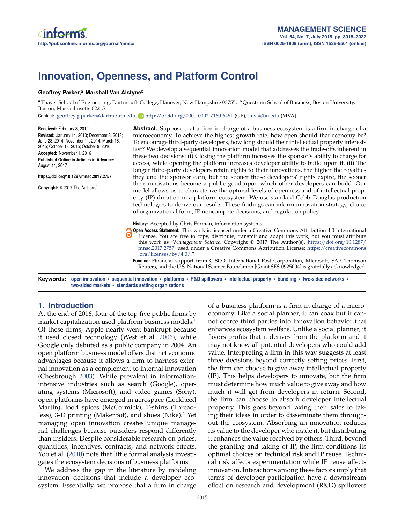

# **Innovation, Openness, and Platform Control**

# **Geoffrey Parker,<sup>a</sup> Marshall Van Alstyne<sup>b</sup>**

**<sup>a</sup>** Thayer School of Engineering, Dartmouth College, Hanover, New Hampshire 03755; **<sup>b</sup>** Questrom School of Business, Boston University, Boston, Massachusetts 02215

Contact: [geoffrey.g.parker@dartmouth.edu,](mailto:geoffrey.g.parker@dartmouth.edu) D<http://orcid.org/0000-0002-7160-6451> (GP); [mva@bu.edu](mailto:mva@bu.edu) (MVA)

| Received: February 8, 2012                                                                                                                                                                                                                                                                                              | <b>Abstract.</b> Suppose that a firm in charge of a business ecosystem is a firm in charge of a                                                                                                                                                                                                                                                                                                                                                                                                                                                                                                                                                                                                                                                                                                                                                                                                                                                                                                                                                                                                                 |
|-------------------------------------------------------------------------------------------------------------------------------------------------------------------------------------------------------------------------------------------------------------------------------------------------------------------------|-----------------------------------------------------------------------------------------------------------------------------------------------------------------------------------------------------------------------------------------------------------------------------------------------------------------------------------------------------------------------------------------------------------------------------------------------------------------------------------------------------------------------------------------------------------------------------------------------------------------------------------------------------------------------------------------------------------------------------------------------------------------------------------------------------------------------------------------------------------------------------------------------------------------------------------------------------------------------------------------------------------------------------------------------------------------------------------------------------------------|
| Revised: January 14, 2013; December 3, 2013;<br>June 28, 2014; November 11, 2014; March 16,<br>2015; October 18, 2015; October 9, 2016<br>Accepted: November 1, 2016<br><b>Published Online in Articles in Advance:</b><br>August 11, 2017<br>https://doi.org/10.1287/mnsc.2017.2757<br>Copyright: © 2017 The Author(s) | microeconomy. To achieve the highest growth rate, how open should that economy be?<br>To encourage third-party developers, how long should their intellectual property interests<br>last? We develop a sequential innovation model that addresses the trade-offs inherent in<br>these two decisions: (i) Closing the platform increases the sponsor's ability to charge for<br>access, while opening the platform increases developer ability to build upon it. (ii) The<br>longer third-party developers retain rights to their innovations, the higher the royalties<br>they and the sponsor earn, but the sooner those developers' rights expire, the sooner<br>their innovations become a public good upon which other developers can build. Our<br>model allows us to characterize the optimal levels of openness and of intellectual prop-<br>erty (IP) duration in a platform ecosystem. We use standard Cobb-Douglas production<br>technologies to derive our results. These findings can inform innovation strategy, choice<br>of organizational form, IP noncompete decisions, and regulation policy. |
|                                                                                                                                                                                                                                                                                                                         | History: Accepted by Chris Forman, information systems.<br>Open Access Statement: This work is licensed under a Creative Commons Attribution 4.0 International<br>License. You are free to copy, distribute, transmit and adapt this work, but you must attribute<br>this work as "Management Science. Copyright © 2017 The Author(s). https://doi.org/10.1287/<br>mnsc.2017.2757, used under a Creative Commons Attribution License: https://creativecommons<br>.org/licenses/by/4.0/."<br><b>Funding:</b> Financial support from CISCO, International Post Corporation, Microsoft, SAP, Thomson<br>Reuters, and the U.S. National Science Foundation [Grant SES-0925004] is gratefully acknowledged.                                                                                                                                                                                                                                                                                                                                                                                                          |

Keywords: open innovation • sequential innovation • platforms • R&D spillovers • intellectual property • bundling • two-sided networks • **two-sided markets • standards setting organizations**

# **1. Introduction**

At the end of 2016, four of the top five public firms by market capitalization used platform business models.<sup>[1](#page-17-0)</sup> Of these firms, Apple nearly went bankrupt because it used closed technology (West et al. [2006\)](#page-18-0), while Google only debuted as a public company in 2004. An open platform business model offers distinct economic advantages because it allows a firm to harness external innovation as a complement to internal innovation (Chesbrough [2003\)](#page-17-1). While prevalent in informationintensive industries such as search (Google), operating systems (Microsoft), and video games (Sony), open platforms have emerged in aerospace (Lockheed Martin), food spices (McCormick), T-shirts (Thread-less), 3-D printing (MakerBot), and shoes (Nike).<sup>[2](#page-17-2)</sup> Yet managing open innovation creates unique managerial challenges because outsiders respond differently than insiders. Despite considerable research on prices, quantities, incentives, contracts, and network effects, Yoo et al. [\(2010\)](#page-18-1) note that little formal analysis investigates the ecosystem decisions of business platforms.

We address the gap in the literature by modeling innovation decisions that include a developer ecosystem. Essentially, we propose that a firm in charge <span id="page-1-1"></span><span id="page-1-0"></span>of a business platform is a firm in charge of a microeconomy. Like a social planner, it can coax but it cannot coerce third parties into innovation behavior that enhances ecosystem welfare. Unlike a social planner, it favors profits that it derives from the platform and it may not know all potential developers who could add value. Interpreting a firm in this way suggests at least three decisions beyond correctly setting prices. First, the firm can choose to give away intellectual property (IP). This helps developers to innovate, but the firm must determine how much value to give away and how much it will get from developers in return. Second, the firm can choose to absorb developer intellectual property. This goes beyond taxing their sales to taking their ideas in order to disseminate them throughout the ecosystem. Absorbing an innovation reduces its value to the developer who made it, but distributing it enhances the value received by others. Third, beyond the granting and taking of IP, the firm conditions its optimal choices on technical risk and IP reuse. Technical risk affects experimentation while IP reuse affects innovation. Interactions among these factors imply that terms of developer participation have a downstream effect on research and development (R&D) spillovers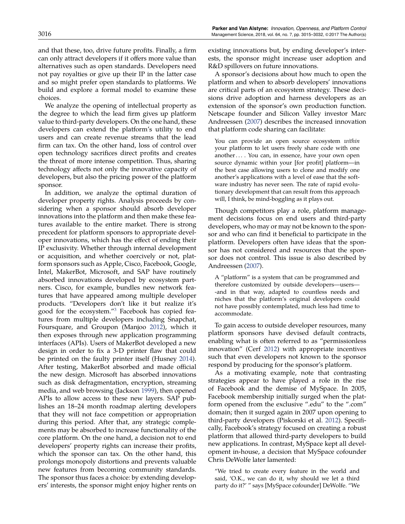We analyze the opening of intellectual property as the degree to which the lead firm gives up platform value to third-party developers. On the one hand, these developers can extend the platform's utility to end users and can create revenue streams that the lead firm can tax. On the other hand, loss of control over open technology sacrifices direct profits and creates the threat of more intense competition. Thus, sharing technology affects not only the innovative capacity of developers, but also the pricing power of the platform sponsor.

In addition, we analyze the optimal duration of developer property rights. Analysis proceeds by considering when a sponsor should absorb developer innovations into the platform and then make these features available to the entire market. There is strong precedent for platform sponsors to appropriate developer innovations, which has the effect of ending their IP exclusivity. Whether through internal development or acquisition, and whether coercively or not, platform sponsors such as Apple, Cisco, Facebook, Google, Intel, MakerBot, Microsoft, and SAP have routinely absorbed innovations developed by ecosystem partners. Cisco, for example, bundles new network features that have appeared among multiple developer products. "Developers don't like it but realize it's good for the ecosystem."[3](#page-17-3) Facebook has copied features from multiple developers including Snapchat, Foursquare, and Groupon (Manjoo [2012\)](#page-18-2), which it then exposes through new application programming interfaces (APIs). Users of MakerBot developed a new design in order to fix a 3-D printer flaw that could be printed on the faulty printer itself (Husney [2014\)](#page-18-3). After testing, MakerBot absorbed and made official the new design. Microsoft has absorbed innovations such as disk defragmentation, encryption, streaming media, and web browsing (Jackson [1999\)](#page-18-4), then opened APIs to allow access to these new layers. SAP publishes an 18–24 month roadmap alerting developers that they will not face competition or appropriation during this period. After that, any strategic complements may be absorbed to increase functionality of the core platform. On the one hand, a decision not to end developers' property rights can increase their profits, which the sponsor can tax. On the other hand, this prolongs monopoly distortions and prevents valuable new features from becoming community standards. The sponsor thus faces a choice: by extending developers' interests, the sponsor might enjoy higher rents on

existing innovations but, by ending developer's interests, the sponsor might increase user adoption and R&D spillovers on future innovations.

A sponsor's decisions about how much to open the platform and when to absorb developers' innovations are critical parts of an ecosystem strategy. These decisions drive adoption and harness developers as an extension of the sponsor's own production function. Netscape founder and Silicon Valley investor Marc Andreessen [\(2007\)](#page-17-4) describes the increased innovation that platform code sharing can facilitate:

You can provide an open source ecosystem *within* your platform to let users freely share code with one another. . . . You can, in essence, have your own open source dynamic within your [for profit] platform—in the best case allowing users to clone and modify one another's applications with a level of ease that the software industry has never seen. The rate of rapid evolutionary development that can result from this approach will, I think, be mind-boggling as it plays out.

Though competitors play a role, platform management decisions focus on end users and third-party developers, who may or may not be known to the sponsor and who can find it beneficial to participate in the platform. Developers often have ideas that the sponsor has not considered and resources that the sponsor does not control. This issue is also described by Andreessen [\(2007\)](#page-17-4).

A "platform" is a system that can be programmed and therefore customized by outside developers—users— -and in that way, adapted to countless needs and niches that the platform's original developers could not have possibly contemplated, much less had time to accommodate.

<span id="page-2-0"></span>To gain access to outside developer resources, many platform sponsors have devised default contracts, enabling what is often referred to as "permissionless innovation" (Cerf [2012\)](#page-17-5) with appropriate incentives such that even developers not known to the sponsor respond by producing for the sponsor's platform.

As a motivating example, note that contrasting strategies appear to have played a role in the rise of Facebook and the demise of MySpace. In 2005, Facebook membership initially surged when the platform opened from the exclusive ".edu" to the ".com" domain; then it surged again in 2007 upon opening to third-party developers (Piskorski et al. [2012\)](#page-18-5). Specifically, Facebook's strategy focused on creating a robust platform that allowed third-party developers to build new applications. In contrast, MySpace kept all development in-house, a decision that MySpace cofounder Chris DeWolfe later lamented:

"We tried to create every feature in the world and said, 'O.K., we can do it, why should we let a third party do it?' " says [MySpace cofounder] DeWolfe. "We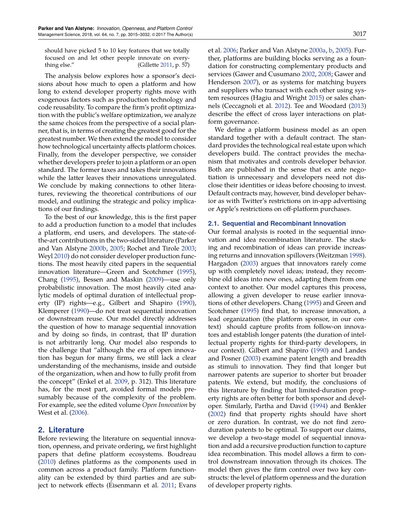should have picked 5 to 10 key features that we totally focused on and let other people innovate on everything else." (Gillette [2011,](#page-17-6) p. 57)

The analysis below explores how a sponsor's decisions about how much to open a platform and how long to extend developer property rights move with exogenous factors such as production technology and code reusability. To compare the firm's profit optimization with the public's welfare optimization, we analyze the same choices from the perspective of a social planner, that is, in terms of creating the greatest good for the greatest number. We then extend the model to consider how technological uncertainty affects platform choices. Finally, from the developer perspective, we consider whether developers prefer to join a platform or an open standard. The former taxes and takes their innovations while the latter leaves their innovations unregulated. We conclude by making connections to other literatures, reviewing the theoretical contributions of our model, and outlining the strategic and policy implications of our findings.

To the best of our knowledge, this is the first paper to add a production function to a model that includes a platform, end users, and developers. The state-ofthe-art contributions in the two-sided literature (Parker and Van Alstyne [2000b,](#page-18-6) [2005;](#page-18-7) Rochet and Tirole [2003;](#page-18-8) Weyl [2010\)](#page-18-9) do not consider developer production functions. The most heavily cited papers in the sequential innovation literature—Green and Scotchmer [\(1995\)](#page-17-7), Chang [\(1995\)](#page-17-8), Bessen and Maskin [\(2009\)](#page-17-9)—use only probabilistic innovation. The most heavily cited analytic models of optimal duration of intellectual property (IP) rights—e.g., Gilbert and Shapiro [\(1990\)](#page-17-10), Klemperer [\(1990\)](#page-18-10)—do not treat sequential innovation or downstream reuse. Our model directly addresses the question of how to manage sequential innovation and by doing so finds, in contrast, that IP duration is not arbitrarily long. Our model also responds to the challenge that "although the era of open innovation has begun for many firms, we still lack a clear understanding of the mechanisms, inside and outside of the organization, when and how to fully profit from the concept" (Enkel et al. [2009,](#page-17-11) p. 312). This literature has, for the most part, avoided formal models presumably because of the complexity of the problem. For example, see the edited volume *Open Innovation* by West et al. [\(2006\)](#page-18-0).

# **2. Literature**

Before reviewing the literature on sequential innovation, openness, and private ordering, we first highlight papers that define platform ecosystems. Boudreau [\(2010\)](#page-17-12) defines platforms as the components used in common across a product family. Platform functionality can be extended by third parties and are subject to network effects (Eisenmann et al. [2011;](#page-17-13) Evans et al. [2006;](#page-17-14) Parker and Van Alstyne [2000a,](#page-18-11) [b,](#page-18-6) [2005\)](#page-18-7). Further, platforms are building blocks serving as a foundation for constructing complementary products and services (Gawer and Cusumano [2002,](#page-17-15) [2008;](#page-17-16) Gawer and Henderson [2007\)](#page-17-17), or as systems for matching buyers and suppliers who transact with each other using system resources (Hagiu and Wright [2015\)](#page-17-18) or sales channels (Ceccagnoli et al. [2012\)](#page-17-19). Tee and Woodard [\(2013\)](#page-18-12) describe the effect of cross layer interactions on platform governance.

We define a platform business model as an open standard together with a default contract. The standard provides the technological real estate upon which developers build. The contract provides the mechanism that motivates and controls developer behavior. Both are published in the sense that ex ante negotiation is unnecessary and developers need not disclose their identities or ideas before choosing to invest. Default contracts may, however, bind developer behavior as with Twitter's restrictions on in-app advertising or Apple's restrictions on off-platform purchases.

# **2.1. Sequential and Recombinant Innovation**

Our formal analysis is rooted in the sequential innovation and idea recombination literature. The stacking and recombination of ideas can provide increasing returns and innovation spillovers (Weitzman [1998\)](#page-18-13). Hargadon [\(2003\)](#page-17-20) argues that innovators rarely come up with completely novel ideas; instead, they recombine old ideas into new ones, adapting them from one context to another. Our model captures this process, allowing a given developer to reuse earlier innovations of other developers. Chang [\(1995\)](#page-17-8) and Green and Scotchmer [\(1995\)](#page-17-7) find that, to increase innovation, a lead organization (the platform sponsor, in our context) should capture profits from follow-on innovators and establish longer patents (the duration of intellectual property rights for third-party developers, in our context). Gilbert and Shapiro [\(1990\)](#page-17-10) and Landes and Posner [\(2003\)](#page-18-14) examine patent length and breadth as stimuli to innovation. They find that longer but narrower patents are superior to shorter but broader patents. We extend, but modify, the conclusions of this literature by finding that limited-duration property rights are often better for both sponsor and developer. Similarly, Partha and David [\(1994\)](#page-18-15) and Benkler [\(2002\)](#page-17-21) find that property rights should have short or zero duration. In contrast, we do not find zeroduration patents to be optimal. To support our claims, we develop a two-stage model of sequential innovation and add a recursive production function to capture idea recombination. This model allows a firm to control downstream innovation through its choices. The model then gives the firm control over two key constructs: the level of platform openness and the duration of developer property rights.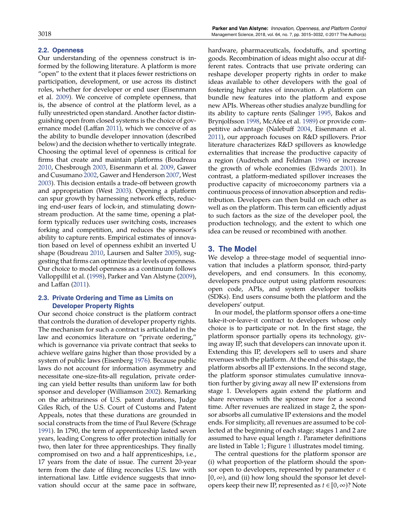# **2.2. Openness**

Our understanding of the openness construct is informed by the following literature. A platform is more "open" to the extent that it places fewer restrictions on participation, development, or use across its distinct roles, whether for developer or end user (Eisenmann et al. [2009\)](#page-17-22). We conceive of complete openness, that is, the absence of control at the platform level, as a fully unrestricted open standard. Another factor distinguishing open from closed systems is the choice of governance model (Laffan [2011\)](#page-18-16), which we conceive of as the ability to bundle developer innovation (described below) and the decision whether to vertically integrate. Choosing the optimal level of openness is critical for firms that create and maintain platforms (Boudreau [2010,](#page-17-12) Chesbrough [2003,](#page-17-1) Eisenmann et al. [2009,](#page-17-22) Gawer and Cusumano [2002,](#page-17-15) Gawer and Henderson [2007,](#page-17-17) West [2003\)](#page-18-17). This decision entails a trade-off between growth and appropriation (West [2003\)](#page-18-17). Opening a platform can spur growth by harnessing network effects, reducing end-user fears of lock-in, and stimulating downstream production. At the same time, opening a platform typically reduces user switching costs, increases forking and competition, and reduces the sponsor's ability to capture rents. Empirical estimates of innovation based on level of openness exhibit an inverted U shape (Boudreau [2010,](#page-17-12) Laursen and Salter [2005\)](#page-18-18), suggesting that firms can optimize their levels of openness. Our choice to model openness as a continuum follows Valloppillil et al. [\(1998\)](#page-18-19), Parker and Van Alstyne [\(2009\)](#page-18-20), and Laffan [\(2011\)](#page-18-16).

# **2.3. Private Ordering and Time as Limits on Developer Property Rights**

Our second choice construct is the platform contract that controls the duration of developer property rights. The mechanism for such a contract is articulated in the law and economics literature on "private ordering," which is governance via private contract that seeks to achieve welfare gains higher than those provided by a system of public laws (Eisenberg [1976\)](#page-17-23). Because public laws do not account for information asymmetry and necessitate one-size-fits-all regulation, private ordering can yield better results than uniform law for both sponsor and developer (Williamson [2002\)](#page-18-21). Remarking on the arbitrariness of U.S. patent durations, Judge Giles Rich, of the U.S. Court of Customs and Patent Appeals, notes that these durations are grounded in social constructs from the time of Paul Revere (Schrage [1991\)](#page-18-22). In 1790, the term of apprenticeship lasted seven years, leading Congress to offer protection initially for two, then later for three apprenticeships. They finally compromised on two and a half apprenticeships, i.e., 17 years from the date of issue. The current 20-year term from the date of filing reconciles U.S. law with international law. Little evidence suggests that innovation should occur at the same pace in software,

hardware, pharmaceuticals, foodstuffs, and sporting goods. Recombination of ideas might also occur at different rates. Contracts that use private ordering can reshape developer property rights in order to make ideas available to other developers with the goal of fostering higher rates of innovation. A platform can bundle new features into the platform and expose new APIs. Whereas other studies analyze bundling for its ability to capture rents (Salinger [1995,](#page-18-23) Bakos and Brynjolfsson [1998,](#page-17-24) McAfee et al. [1989\)](#page-18-24) or provide competitive advantage (Nalebuff [2004,](#page-18-25) Eisenmann et al. [2011\)](#page-17-13), our approach focuses on R&D spillovers. Prior literature characterizes R&D spillovers as knowledge externalities that increase the productive capacity of a region (Audretsch and Feldman [1996\)](#page-17-25) or increase the growth of whole economies (Edwards [2001\)](#page-17-26). In contrast, a platform-mediated spillover increases the productive capacity of microeconomy partners via a continuous process of innovation absorption and redistribution. Developers can then build on each other as well as on the platform. This term can efficiently adjust to such factors as the size of the developer pool, the production technology, and the extent to which one idea can be reused or recombined with another.

# <span id="page-4-0"></span>**3. The Model**

We develop a three-stage model of sequential innovation that includes a platform sponsor, third-party developers, and end consumers. In this economy, developers produce output using platform resources: open code, APIs, and system developer toolkits (SDKs). End users consume both the platform and the developers' output.

In our model, the platform sponsor offers a one-time take-it-or-leave-it contract to developers whose only choice is to participate or not. In the first stage, the platform sponsor partially opens its technology, giving away IP, such that developers can innovate upon it. Extending this IP, developers sell to users and share revenues with the platform. At the end of this stage, the platform absorbs all IP extensions. In the second stage, the platform sponsor stimulates cumulative innovation further by giving away all new IP extensions from stage 1. Developers again extend the platform and share revenues with the sponsor now for a second time. After revenues are realized in stage 2, the sponsor absorbs all cumulative IP extensions and the model ends. For simplicity, all revenues are assumed to be collected at the beginning of each stage; stages 1 and 2 are assumed to have equal length *t*. Parameter definitions are listed in Table [1;](#page-5-0) Figure [1](#page-5-1) illustrates model timing.

The central questions for the platform sponsor are (i) what proportion of the platform should the sponsor open to developers, represented by parameter  $\sigma \in$  $[0, \infty)$ , and (ii) how long should the sponsor let developers keep their new IP, represented as  $t \in [0, \infty)$ ? Note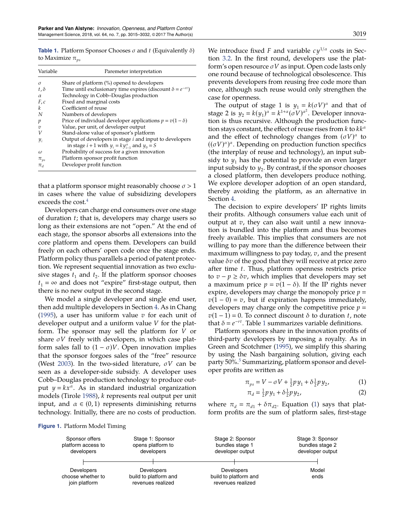<span id="page-5-0"></span>**Table 1.** Platform Sponsor Chooses σ and *t* (Equivalently δ) to Maximize  $\pi_{ps}$ 

| Variable                       | Paremeter interpretation                                                                                                         |  |  |
|--------------------------------|----------------------------------------------------------------------------------------------------------------------------------|--|--|
| σ                              | Share of platform $\frac{6}{6}$ opened to developers                                                                             |  |  |
| $t, \delta$                    | Time until exclusionary time expires (discount $\delta = e^{-rt}$ )                                                              |  |  |
| $\alpha$                       | Technology in Cobb-Douglas production                                                                                            |  |  |
| F, c                           | Fixed and marginal costs                                                                                                         |  |  |
| k                              | Coefficient of reuse                                                                                                             |  |  |
| N                              | Numbers of developers                                                                                                            |  |  |
| p                              | Price of individual developer applications $p = v(1 - \delta)$                                                                   |  |  |
| $\overline{\upsilon}$          | Value, per unit, of developer output                                                                                             |  |  |
| V                              | Stand-alone value of sponsor's platform                                                                                          |  |  |
| $y_i$                          | Output of developers in stage <i>i</i> and input to developers<br>in stage $i + 1$ with $y_i = k y_{i-1}^{\alpha}$ and $y_0 = S$ |  |  |
| $\omega$                       | Probability of success for a given innovation                                                                                    |  |  |
| $\pi_{\scriptscriptstyle{ps}}$ | Platform sponsor profit function                                                                                                 |  |  |
| $\pi_d$                        | Developer profit function                                                                                                        |  |  |

that a platform sponsor might reasonably choose  $\sigma > 1$ in cases where the value of subsidizing developers exceeds the cost. $4$ 

<span id="page-5-3"></span>Developers can charge end consumers over one stage of duration *t*; that is, developers may charge users so long as their extensions are not "open." At the end of each stage, the sponsor absorbs all extensions into the core platform and opens them. Developers can build freely on each others' open code once the stage ends. Platform policy thus parallels a period of patent protection. We represent sequential innovation as two exclusive stages  $t_1$  and  $t_2$ . If the platform sponsor chooses  $t_1 = \infty$  and does not "expire" first-stage output, then there is no new output in the second stage.

We model a single developer and single end user, then add multiple developers in Section [4.](#page-9-0) As in Chang [\(1995\)](#page-17-8), a user has uniform value *v* for each unit of developer output and a uniform value *V* for the platform. The sponsor may sell the platform for *V* or share σ*V* freely with developers, in which case platform sales fall to  $(1 - \sigma)V$ . Open innovation implies that the sponsor forgoes sales of the "free" resource (West [2003\)](#page-18-17). In the two-sided literature, σ*V* can be seen as a developer-side subsidy. A developer uses Cobb–Douglas production technology to produce output  $y = kx^{\alpha}$ . As in standard industrial organization models (Tirole [1988\)](#page-18-26), *k* represents real output per unit input, and  $\alpha \in (0,1)$  represents diminishing returns technology. Initially, there are no costs of production.

We introduce fixed  $F$  and variable  $cy^{1/\alpha}$  costs in Section [3.2.](#page-7-0) In the first round, developers use the platform's open resource  $\sigma V$  as input. Open code lasts only one round because of technological obsolescence. This prevents developers from reusing free code more than once, although such reuse would only strengthen the case for openness.

The output of stage 1 is  $y_1 = k(\sigma V)^{\alpha}$  and that of stage 2 is  $y_2 = k(y_1)^\alpha = k^{1+\alpha} (\sigma \overline{V})^{\alpha^2}$ . Developer innovation is thus recursive. Although the production function stays constant, the effect of reuse rises from *k* to *kk*<sup>α</sup> and the effect of technology changes from  $(\sigma V)^{\alpha}$  to  $((\sigma V)^{\alpha})^{\alpha}$ . Depending on production function specifics (the interplay of reuse and technology), an input subsidy to  $y_1$  has the potential to provide an even larger input subsidy to *y*<sup>2</sup> . By contrast, if the sponsor chooses a closed platform, then developers produce nothing. We explore developer adoption of an open standard, thereby avoiding the platform, as an alternative in Section [4.](#page-9-0)

The decision to expire developers' IP rights limits their profits. Although consumers value each unit of output at *v*, they can also wait until a new innovation is bundled into the platform and thus becomes freely available. This implies that consumers are not willing to pay more than the difference between their maximum willingness to pay today, *v*, and the present value δ*v* of the good that they will receive at price zero after time *t*. Thus, platform openness restricts price to *v* − *p* ≥ δ*v*, which implies that developers may set a maximum price  $p = v(1 - \delta)$ . If the IP rights never expire, developers may charge the monopoly price *p*  $v(1 - 0) = v$ , but if expiration happens immediately, developers may charge only the competitive price  $p =$  $v(1-1) = 0$ . To connect discount  $\delta$  to duration *t*, note that  $\delta = e^{-rt}$ . Table [1](#page-5-0) summarizes variable definitions.

Platform sponsors share in the innovation profits of third-party developers by imposing a royalty. As in Green and Scotchmer [\(1995\)](#page-17-7), we simplify this sharing by using the Nash bargaining solution, giving each party [5](#page-17-28)0%.<sup>5</sup> Summarizing, platform sponsor and developer profits are written as

<span id="page-5-4"></span>
$$
\pi_{ps} = V - \sigma V + \frac{1}{2} p y_1 + \delta \frac{1}{2} p y_2,\tag{1}
$$

<span id="page-5-2"></span>
$$
\pi_d = \frac{1}{2}py_1 + \delta \frac{1}{2}py_2,\tag{2}
$$

where  $\pi_d = \pi_{d1} + \delta \pi_{d2}$ . Equation [\(1\)](#page-5-2) says that platform profits are the sum of platform sales, first-stage

**Figure 1.** Platform Model Timing

<span id="page-5-1"></span>

| Sponsor offers                                   | Stage 1: Sponsor                                         | Stage 2: Sponsor                                         | Stage 3: Sponsor |
|--------------------------------------------------|----------------------------------------------------------|----------------------------------------------------------|------------------|
| platform access to                               | opens platform to                                        | bundles stage 1                                          | bundles stage 2  |
| developers                                       | developers                                               | developer output                                         | developer output |
| Developers<br>choose whether to<br>join platform | Developers<br>build to platform and<br>revenues realized | Developers<br>build to platform and<br>revenues realized | Model<br>ends    |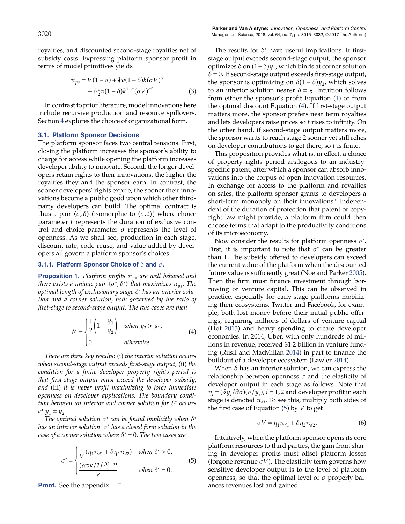royalties, and discounted second-stage royalties net of subsidy costs. Expressing platform sponsor profit in terms of model primitives yields

$$
\pi_{ps} = V(1-\sigma) + \frac{1}{2}\nu(1-\delta)k(\sigma V)^{\alpha}
$$

$$
+ \delta \frac{1}{2}\nu(1-\delta)k^{1+\alpha}(\sigma V)^{\alpha^2}.
$$
 (3)

In contrast to prior literature, model innovations here include recursive production and resource spillovers. Section [4](#page-9-0) explores the choice of organizational form.

# **3.1. Platform Sponsor Decisions**

The platform sponsor faces two central tensions. First, closing the platform increases the sponsor's ability to charge for access while opening the platform increases developer ability to innovate. Second, the longer developers retain rights to their innovations, the higher the royalties they and the sponsor earn. In contrast, the sooner developers' rights expire, the sooner their innovations become a public good upon which other thirdparty developers can build. The optimal contract is thus a pair  $\langle \sigma, \delta \rangle$  (isomorphic to  $\langle \sigma, t \rangle$ ) where choice parameter *t* represents the duration of exclusive control and choice parameter  $\sigma$  represents the level of openness. As we shall see, production in each stage, discount rate, code reuse, and value added by developers all govern a platform sponsor's choices.

# **3.1.1. Platform Sponsor Choice of** δ **and** σ**.**

<span id="page-6-3"></span>**Proposition 1.** *Platform profits* π*ps are well behaved and* there exists a unique pair  $\langle \sigma^*, \delta^* \rangle$  that maximizes  $\pi_{ps}$ . The *optimal length of exclusionary stage* δ <sup>∗</sup> *has an interior solution and a corner solution, both governed by the ratio of first-stage to second-stage output. The two cases are then*

<span id="page-6-0"></span>
$$
\delta^* = \begin{cases} \frac{1}{2} \left( 1 - \frac{y_1}{y_2} \right) & \text{when } y_2 > y_1, \\ 0 & \text{otherwise.} \end{cases}
$$
 (4)

J. *There are three key results:* (i) *the interior solution occurs when second-stage output exceeds first-stage output,* (ii) *the condition for a finite developer property rights period is that first-stage output must exceed the developer subsidy, and* (iii) *it is never profit maximizing to force immediate openness on developer applications. The boundary condition between an interior and corner solution for* δ ∗ *occurs at*  $y_1 = y_2$ .

*The optimal solution* σ ∗ *can be found implicitly when* δ ∗ *has an interior solution.* σ <sup>∗</sup> *has a closed form solution in the case of a corner solution where* δ <sup>∗</sup> 0*. The two cases are*

<span id="page-6-1"></span>
$$
\sigma^* = \begin{cases}\n\frac{1}{V} (\eta_1 \pi_{d1} + \delta \eta_2 \pi_{d2}) & \text{when } \delta^* > 0, \\
\frac{(\alpha v k/2)^{1/(1-\alpha)}}{V} & \text{when } \delta^* = 0.\n\end{cases}
$$
\n(5)

**Proof.** See the appendix. □

<span id="page-6-4"></span>The results for  $\delta^*$  have useful implications. If firststage output exceeds second-stage output, the sponsor optimizes δ on (1−δ)*y*<sup>1</sup> , which binds at corner solution  $\delta$  = 0. If second-stage output exceeds first-stage output, the sponsor is optimizing on  $\delta(1-\delta)y_2$ , which solves to an interior solution nearer  $\delta = \frac{1}{2}$ . Intuition follows from either the sponsor's profit Equation [\(1\)](#page-5-2) or from the optimal discount Equation [\(4\)](#page-6-0). If first-stage output matters more, the sponsor prefers near term royalties and lets developers raise prices so *t* rises to infinity. On the other hand, if second-stage output matters more, the sponsor wants to reach stage 2 sooner yet still relies on developer contributions to get there, so *t* is finite.

This proposition provides what is, in effect, a choice of property rights period analogous to an industryspecific patent, after which a sponsor can absorb innovations into the corpus of open innovation resources. In exchange for access to the platform and royalties on sales, the platform sponsor grants to developers a short-term monopoly on their innovations.<sup>[6](#page-17-29)</sup> Independent of the duration of protection that patent or copyright law might provide, a platform firm could then choose terms that adapt to the productivity conditions of its microeconomy.

<span id="page-6-5"></span>Now consider the results for platform openness  $\sigma^*$ . First, it is important to note that  $\sigma^*$  can be greater than 1. The subsidy offered to developers can exceed the current value of the platform when the discounted future value is sufficiently great (Noe and Parker [2005\)](#page-18-27). Then the firm must finance investment through borrowing or venture capital. This can be observed in practice, especially for early-stage platforms mobilizing their ecosystems. Twitter and Facebook, for example, both lost money before their initial public offerings, requiring millions of dollars of venture capital (Hof [2013\)](#page-17-30) and heavy spending to create developer economies. In 2014, Uber, with only hundreds of millions in revenue, received \$1.2 billion in venture funding (Rusli and MacMillan [2014\)](#page-18-28) in part to finance the buildout of a developer ecosystem (Lawler [2014\)](#page-18-29).

When  $\delta$  has an interior solution, we can express the relationship between openness  $\sigma$  and the elasticity of developer output in each stage as follows. Note that  $\eta_i = (\partial \dot{y}_i/\partial \sigma)(\dot{\sigma}/y_i)$ ,  $i = 1$ , 2 and developer profit in each stage is denoted  $\pi_{di}$ . To see this, multiply both sides of the first case of Equation [\(5\)](#page-6-1) by *V* to get

<span id="page-6-2"></span>
$$
\sigma V = \eta_1 \pi_{d1} + \delta \eta_2 \pi_{d2}.\tag{6}
$$

Intuitively, when the platform sponsor opens its core platform resources to third parties, the gain from sharing in developer profits must offset platform losses (forgone revenue  $\sigma V$ ). The elasticity term governs how sensitive developer output is to the level of platform openness, so that the optimal level of  $σ$  properly balances revenues lost and gained.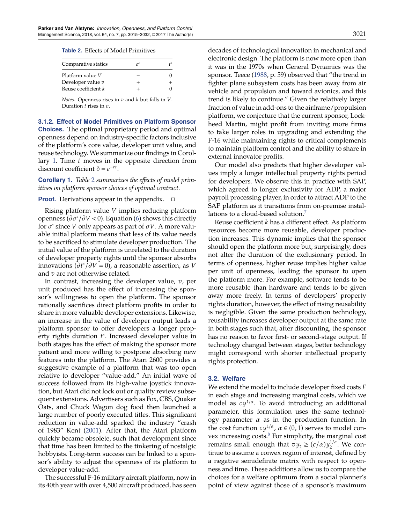<span id="page-7-2"></span>**Table 2.** Effects of Model Primitives

| Comparative statics |  |
|---------------------|--|
| Platform value V    |  |
| Developer value $v$ |  |
| Reuse coefficient k |  |

*Notes.* Openness rises in *v* and *k* but falls in *V*. Duration *t* rises in *v*.

**3.1.2. Effect of Model Primitives on Platform Sponsor Choices.** The optimal proprietary period and optimal openness depend on industry-specific factors inclusive of the platform's core value, developer unit value, and reuse technology. We summarize our findings in Corollary [1.](#page-7-1) Time *t* moves in the opposite direction from discount coefficient  $\delta = e^{-rt}$ .

<span id="page-7-1"></span>**Corollary 1.** *Table [2](#page-7-2) summarizes the effects of model primitives on platform sponsor choices of optimal contract.*

# **Proof.** Derivations appear in the appendix. □

Rising platform value *V* implies reducing platform openness (∂σ<sup>∗</sup> /∂*V* < 0). Equation [\(6\)](#page-6-2) shows this directly for σ ∗ since *V* only appears as part of σ*V*. A more valuable initial platform means that less of its value needs to be sacrificed to stimulate developer production. The initial value of the platform is unrelated to the duration of developer property rights until the sponsor absorbs innovations (∂*t* <sup>∗</sup>/∂*V* 0), a reasonable assertion, as *V* and *v* are not otherwise related.

In contrast, increasing the developer value, *v*, per unit produced has the effect of increasing the sponsor's willingness to open the platform. The sponsor rationally sacrifices direct platform profits in order to share in more valuable developer extensions. Likewise, an increase in the value of developer output leads a platform sponsor to offer developers a longer property rights duration *t* ∗ . Increased developer value in both stages has the effect of making the sponsor more patient and more willing to postpone absorbing new features into the platform. The Atari 2600 provides a suggestive example of a platform that was too open relative to developer "value-add." An initial wave of success followed from its high-value joystick innovation, but Atari did not lock out or quality review subsequent extensions. Advertisers such as Fox, CBS, Quaker Oats, and Chuck Wagon dog food then launched a large number of poorly executed titles. This significant reduction in value-add sparked the industry "crash of 1983" Kent [\(2001\)](#page-18-30). After that, the Atari platform quickly became obsolete, such that development since that time has been limited to the tinkering of nostalgic hobbyists. Long-term success can be linked to a sponsor's ability to adjust the openness of its platform to developer value-add.

The successful F-16 military aircraft platform, now in its 40th year with over 4,500 aircraft produced, has seen decades of technological innovation in mechanical and electronic design. The platform is now more open than it was in the 1970s when General Dynamics was the sponsor. Teece [\(1988,](#page-18-31) p. 59) observed that "the trend in fighter plane subsystem costs has been away from air vehicle and propulsion and toward avionics, and this trend is likely to continue." Given the relatively larger fraction of value in add-ons to the airframe/propulsion platform, we conjecture that the current sponsor, Lockheed Martin, might profit from inviting more firms to take larger roles in upgrading and extending the F-16 while maintaining rights to critical complements to maintain platform control and the ability to share in external innovator profits.

Our model also predicts that higher developer values imply a longer intellectual property rights period for developers. We observe this in practice with SAP, which agreed to longer exclusivity for ADP, a major payroll processing player, in order to attract ADP to the SAP platform as it transitions from on-premise installations to a cloud-based solution.[7](#page-17-31)

<span id="page-7-3"></span>Reuse coefficient *k* has a different effect. As platform resources become more reusable, developer production increases. This dynamic implies that the sponsor should open the platform more but, surprisingly, does not alter the duration of the exclusionary period. In terms of openness, higher reuse implies higher value per unit of openness, leading the sponsor to open the platform more. For example, software tends to be more reusable than hardware and tends to be given away more freely. In terms of developers' property rights duration, however, the effect of rising reusability is negligible. Given the same production technology, reusability increases developer output at the same rate in both stages such that, after discounting, the sponsor has no reason to favor first- or second-stage output. If technology changed between stages, better technology might correspond with shorter intellectual property rights protection.

# <span id="page-7-0"></span>**3.2. Welfare**

<span id="page-7-4"></span>We extend the model to include developer fixed costs *F* in each stage and increasing marginal costs, which we model as  $cy^{1/\alpha}$ . To avoid introducing an additional parameter, this formulation uses the same technology parameter  $\alpha$  as in the production function. In the cost function  $cy^{1/\alpha}$ ,  $\alpha \in (0,1)$  serves to model con-vex increasing costs.<sup>[8](#page-17-32)</sup> For simplicity, the marginal cost remains small enough that  $vy_2 \ge (c/\alpha)y_2^{1/\alpha}$  $2^{1/a}$ . We continue to assume a convex region of interest, defined by a negative semidefinite matrix with respect to openness and time. These additions allow us to compare the choices for a welfare optimum from a social planner's point of view against those of a sponsor's maximum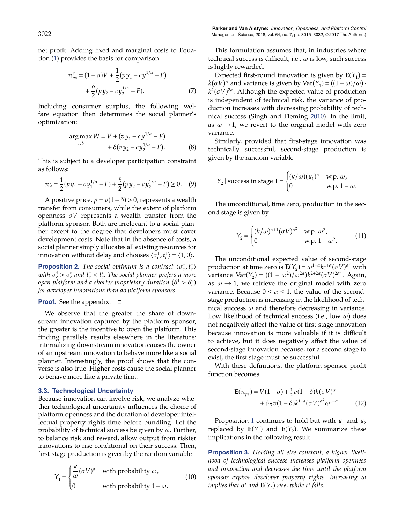net profit. Adding fixed and marginal costs to Equation [\(1\)](#page-5-2) provides the basis for comparison:

$$
\pi_{ps}^{c} = (1 - \sigma)V + \frac{1}{2}(py_{1} - cy_{1}^{1/\alpha} - F) + \frac{\delta}{2}(py_{2} - cy_{2}^{1/\alpha} - F).
$$
 (7)

Including consumer surplus, the following welfare equation then determines the social planner's optimization:

$$
\arg \max_{\sigma, \delta} W = V + (\upsilon y_1 - c y_1^{1/\alpha} - F) + \delta(\upsilon y_2 - c y_2^{1/\alpha} - F).
$$
 (8)

This is subject to a developer participation constraint as follows:

$$
\pi_a^c = \frac{1}{2}(py_1 - cy_1^{1/\alpha} - F) + \frac{\delta}{2}(py_2 - cy_2^{1/\alpha} - F) \ge 0. \tag{9}
$$

A positive price,  $p = v(1 − \delta) > 0$ , represents a wealth transfer from consumers, while the extent of platform openness σ*V* represents a wealth transfer from the platform sponsor. Both are irrelevant to a social planner except to the degree that developers must cover development costs. Note that in the absence of costs, a social planner simply allocates all existing resources for innovation without delay and chooses  $\langle \sigma_c^{\dagger}, t_c^{\dagger} \rangle = \langle 1, 0 \rangle$ .

<span id="page-8-0"></span>**Proposition 2.** *The social optimum is a contract*  $\langle \sigma_c^{\dagger}, t_c^{\dagger} \rangle$ *with*  $\sigma_c^{\dagger} > \sigma_c^*$  and  $t_c^{\dagger} < t_c^*$ . The social planner prefers a more *open platform and a shorter proprietary duration*  $(\delta_c^+ > \delta_c^*)$ *for developer innovations than do platform sponsors.*

# **Proof.** See the appendix. □

We observe that the greater the share of downstream innovation captured by the platform sponsor, the greater is the incentive to open the platform. This finding parallels results elsewhere in the literature: internalizing downstream innovation causes the owner of an upstream innovation to behave more like a social planner. Interestingly, the proof shows that the converse is also true. Higher costs cause the social planner to behave more like a private firm.

# **3.3. Technological Uncertainty**

Because innovation can involve risk, we analyze whether technological uncertainty influences the choice of platform openness and the duration of developer intellectual property rights time before bundling. Let the probability of technical success be given by  $\omega$ . Further, to balance risk and reward, allow output from riskier innovations to rise conditional on their success. Then, first-stage production is given by the random variable

$$
Y_1 = \begin{cases} \frac{k}{\omega} (\sigma V)^{\alpha} & \text{with probability } \omega, \\ 0 & \text{with probability } 1 - \omega. \end{cases}
$$
 (10)

This formulation assumes that, in industries where technical success is difficult, i.e.,  $\omega$  is low, such success is highly rewarded.

Expected first-round innovation is given by  $E(Y_1) =$  $k(\sigma V)^{\alpha}$  and variance is given by  $\text{Var}(Y_1) = ((1 - \omega)/\omega) \cdot$  $k^2(\sigma V)^{2\alpha}$ . Although the expected value of production is independent of technical risk, the variance of production increases with decreasing probability of technical success (Singh and Fleming [2010\)](#page-18-32). In the limit, as  $\omega \rightarrow 1$ , we revert to the original model with zero variance.

Similarly, provided that first-stage innovation was technically successful, second-stage production is given by the random variable

$$
Y_2
$$
 | success in stage  $1 = \begin{cases} (k/\omega)(y_1)^{\alpha} & \text{w.p. } \omega, \\ 0 & \text{w.p. } 1 - \omega. \end{cases}$ 

The unconditional, time zero, production in the second stage is given by

$$
Y_2 = \begin{cases} (k/\omega)^{\alpha+1} (\sigma V)^{\alpha^2} & \text{w.p. } \omega^2, \\ 0 & \text{w.p. } 1 - \omega^2. \end{cases}
$$
 (11)

The unconditional expected value of second-stage production at time zero is  $\mathbf{E}(Y_2) = \omega^{1-\alpha} k^{1+\alpha} (\sigma V)^{\alpha^2}$  with variance Var(Y<sub>2</sub>) =  $((1 - \omega^2)/\omega^{2\alpha})k^{2+2\alpha} (\sigma V)^{2\alpha^2}$ . Again, as  $\omega \rightarrow 1$ , we retrieve the original model with zero variance. Because  $0 \le \alpha \le 1$ , the value of the secondstage production is increasing in the likelihood of technical success  $\omega$  and therefore decreasing in variance. Low likelihood of technical success (i.e., low  $\omega$ ) does not negatively affect the value of first-stage innovation because innovation is more valuable if it is difficult to achieve, but it does negatively affect the value of second-stage innovation because, for a second stage to exist, the first stage must be successful.

With these definitions, the platform sponsor profit function becomes

$$
\mathbf{E}(\pi_{ps}) = V(1-\sigma) + \frac{1}{2}v(1-\delta)k(\sigma V)^{\alpha} + \delta \frac{1}{2}v(1-\delta)k^{1+a}(\sigma V)^{\alpha^2} \omega^{1-\alpha}.
$$
 (12)

Proposition [1](#page-6-3) continues to hold but with  $y_1$  and  $y_2$ replaced by  $E(Y_1)$  and  $E(Y_2)$ . We summarize these implications in the following result.

<span id="page-8-1"></span>**Proposition 3.** *Holding all else constant, a higher likelihood of technological success increases platform openness and innovation and decreases the time until the platform sponsor expires developer property rights. Increasing* ω *implies that*  $\sigma^*$  *and*  $\mathbf{E}(Y_2)$  *rise, while*  $t^*$  *falls.*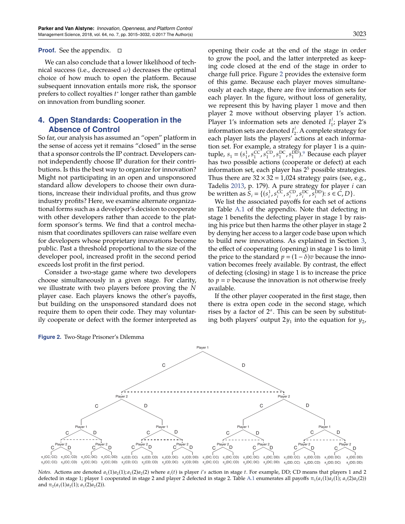# **Proof.** See the appendix. □

We can also conclude that a lower likelihood of technical success (i.e., decreased  $\omega$ ) decreases the optimal choice of how much to open the platform. Because subsequent innovation entails more risk, the sponsor prefers to collect royalties *t* ∗ longer rather than gamble on innovation from bundling sooner.

# <span id="page-9-0"></span>**4. Open Standards: Cooperation in the Absence of Control**

So far, our analysis has assumed an "open" platform in the sense of access yet it remains "closed" in the sense that a sponsor controls the IP contract. Developers cannot independently choose IP duration for their contributions. Is this the best way to organize for innovation? Might not participating in an open and unsponsored standard allow developers to choose their own durations, increase their individual profits, and thus grow industry profits? Here, we examine alternate organizational forms such as a developer's decision to cooperate with other developers rather than accede to the platform sponsor's terms. We find that a control mechanism that coordinates spillovers can raise welfare even for developers whose proprietary innovations become public. Past a threshold proportional to the size of the developer pool, increased profit in the second period exceeds lost profit in the first period.

Consider a two-stage game where two developers choose simultaneously in a given stage. For clarity, we illustrate with two players before proving the *N* player case. Each players knows the other's payoffs, but building on the unsponsored standard does not require them to open their code. They may voluntarily cooperate or defect with the former interpreted as opening their code at the end of the stage in order to grow the pool, and the latter interpreted as keeping code closed at the end of the stage in order to charge full price. Figure [2](#page-9-1) provides the extensive form of this game. Because each player moves simultaneously at each stage, there are five information sets for each player. In the figure, without loss of generality, we represent this by having player 1 move and then player 2 move without observing player 1's action. Player 1's information sets are denoted *I j*  $_1^{\prime}$ ; player 2's information sets are denoted *I j*  $\frac{1}{2}$ . A complete strategy for each player lists the players' actions at each information set. For example, a strategy for player 1 is a quintuple,  $s_1 = (s_1^1, s_1^{\text{CC}}, s_1^{\text{CD}}, s_1^{\text{DC}}, s_1^{\text{DD}})$ .<sup>[9](#page-17-33)</sup> Because each player has two possible actions (cooperate or defect) at each information set, each player has  $2^5$  possible strategies. Thus there are  $32 \times 32 = 1,024$  strategy pairs (see, e.g., Tadelis [2013,](#page-18-33) p. 179). A pure strategy for player *i* can be written as  $\hat{S}_i = \{ (s_i^1, s_i^{\text{CC}}, s_i^{\text{CD}}, s_i^{\text{DC}}, \check{s}_i^{\text{DD}}) : s \in \check{C}, D \}.$ 

<span id="page-9-2"></span>We list the associated payoffs for each set of actions in Table [A.1](#page-15-0) of the appendix. Note that defecting in stage 1 benefits the defecting player in stage 1 by raising his price but then harms the other player in stage 2 by denying her access to a larger code base upon which to build new innovations. As explained in Section [3,](#page-4-0) the effect of cooperating (opening) in stage 1 is to limit the price to the standard  $p = (1 - \delta)v$  because the innovation becomes freely available. By contrast, the effect of defecting (closing) in stage 1 is to increase the price to  $p = v$  because the innovation is not otherwise freely available.

If the other player cooperated in the first stage, then there is extra open code in the second stage, which rises by a factor of  $2^{\alpha}$ . This can be seen by substituting both players' output  $2y_1$  into the equation for  $y_2$ ,

<span id="page-9-1"></span>

Notes. Actions are denoted  $a_1(1)a_2(1)$ ;  $a_1(2)a_2(2)$  where  $a_i(t)$  is player i's action in stage t. For example, DD; CD means that players 1 and 2 defected in stage 1; player 1 cooperated in stage 2 and player 2 defected in stage 2. Table [A.1](#page-15-0) enumerates all payoffs  $\pi_1(a_1(1)a_2(1)$ ;  $a_1(2)a_2(2)$ ) and  $\pi_2(a_1(1)a_2(1); a_1(2)a_2(2)$ .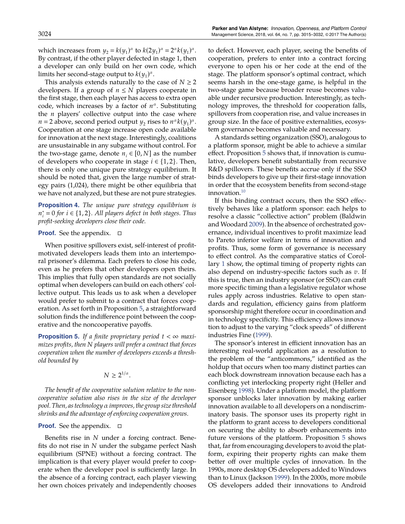which increases from  $y_2 = k(y_1)^\alpha$  to  $k(2y_1)^\alpha = 2^\alpha k(y_1)^\alpha$ . By contrast, if the other player defected in stage 1, then a developer can only build on her own code, which limits her second-stage output to  $k(y_1)^{\alpha}$ .

This analysis extends naturally to the case of  $N \geq 2$ developers. If a group of  $n \leq N$  players cooperate in the first stage, then each player has access to extra open code, which increases by a factor of *n* α . Substituting the *n* players' collective output into the case where *n* = 2 above, second period output *y*<sub>2</sub> rises to  $n^{\alpha}k(y_1)^{\alpha}$ . Cooperation at one stage increase open code available for innovation at the next stage. Interestingly, coalitions are unsustainable in any subgame without control. For the two-stage game, denote  $n_i \in [0, N]$  as the number of developers who cooperate in stage  $i \in \{1,2\}$ . Then, there is only one unique pure strategy equilibrium. It should be noted that, given the large number of strategy pairs (1,024), there might be other equilibria that we have not analyzed, but these are not pure strategies.

<span id="page-10-1"></span>**Proposition 4.** *The unique pure strategy equilibrium is n* ∗ *<sup>i</sup>* <sup>0</sup> *for <sup>i</sup>* ∈ {1, <sup>2</sup>}*. All players defect in both stages. Thus profit-seeking developers close their code.*

# **Proof.** See the appendix. □

When positive spillovers exist, self-interest of profitmotivated developers leads them into an intertemporal prisoner's dilemma. Each prefers to close his code, even as he prefers that other developers open theirs. This implies that fully open standards are not socially optimal when developers can build on each others' collective output. This leads us to ask when a developer would prefer to submit to a contract that forces cooperation. As set forth in Proposition [5,](#page-10-0) a straightforward solution finds the indifference point between the cooperative and the noncooperative payoffs.

<span id="page-10-0"></span>**Proposition 5.** If a finite proprietary period  $t < \infty$  maxi*mizes profits, then N players will prefer a contract that forces cooperation when the number of developers exceeds a threshold bounded by*

$$
N\geq 2^{1/\alpha}.
$$

*The benefit of the cooperative solution relative to the noncooperative solution also rises in the size of the developer pool. Then, as technology* α *improves, the group size threshold shrinks and the advantage of enforcing cooperation grows.*

# **Proof.** See the appendix. □

Benefits rise in *N* under a forcing contract. Benefits do not rise in *N* under the subgame perfect Nash equilibrium (SPNE) without a forcing contract. The implication is that every player would prefer to cooperate when the developer pool is sufficiently large. In the absence of a forcing contract, each player viewing her own choices privately and independently chooses to defect. However, each player, seeing the benefits of cooperation, prefers to enter into a contract forcing everyone to open his or her code at the end of the stage. The platform sponsor's optimal contract, which seems harsh in the one-stage game, is helpful in the two-stage game because broader reuse becomes valuable under recursive production. Interestingly, as technology improves, the threshold for cooperation falls, spillovers from cooperation rise, and value increases in group size. In the face of positive externalities, ecosystem governance becomes valuable and necessary.

A standards setting organization (SSO), analogous to a platform sponsor, might be able to achieve a similar effect. Proposition [5](#page-10-0) shows that, if innovation is cumulative, developers benefit substantially from recursive R&D spillovers. These benefits accrue only if the SSO binds developers to give up their first-stage innovation in order that the ecosystem benefits from second-stage innovation.<sup>[10](#page-17-34)</sup>

<span id="page-10-2"></span>If this binding contract occurs, then the SSO effectively behaves like a platform sponsor: each helps to resolve a classic "collective action" problem (Baldwin and Woodard [2009\)](#page-17-35). In the absence of orchestrated governance, individual incentives to profit maximize lead to Pareto inferior welfare in terms of innovation and profits. Thus, some form of governance is necessary to effect control. As the comparative statics of Corollary [1](#page-7-1) show, the optimal timing of property rights can also depend on industry-specific factors such as *v*. If this is true, then an industry sponsor (or SSO) can craft more specific timing than a legislative regulator whose rules apply across industries. Relative to open standards and regulation, efficiency gains from platform sponsorship might therefore occur in coordination and in technology specificity. This efficiency allows innovation to adjust to the varying "clock speeds" of different industries Fine [\(1999\)](#page-17-36).

The sponsor's interest in efficient innovation has an interesting real-world application as a resolution to the problem of the "anticommons," identified as the holdup that occurs when too many distinct parties can each block downstream innovation because each has a conflicting yet interlocking property right (Heller and Eisenberg [1998\)](#page-17-37). Under a platform model, the platform sponsor unblocks later innovation by making earlier innovation available to all developers on a nondiscriminatory basis. The sponsor uses its property right in the platform to grant access to developers conditional on securing the ability to absorb enhancements into future versions of the platform. Proposition [5](#page-10-0) shows that, far from encouraging developers to avoid the platform, expiring their property rights can make them better off over multiple cycles of innovation. In the 1990s, more desktop OS developers added to Windows than to Linux (Jackson [1999\)](#page-18-4). In the 2000s, more mobile OS developers added their innovations to Android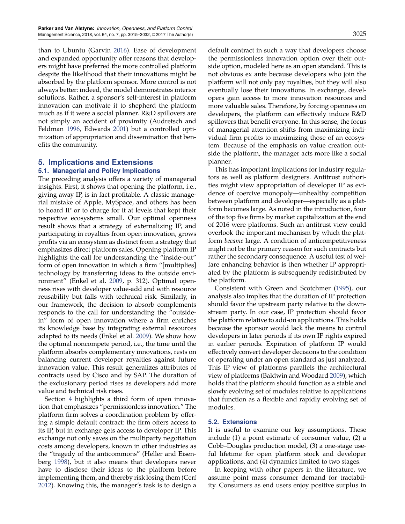than to Ubuntu (Garvin [2016\)](#page-17-38). Ease of development and expanded opportunity offer reasons that developers might have preferred the more controlled platform despite the likelihood that their innovations might be absorbed by the platform sponsor. More control is not always better: indeed, the model demonstrates interior solutions. Rather, a sponsor's self-interest in platform innovation can motivate it to shepherd the platform much as if it were a social planner. R&D spillovers are not simply an accident of proximity (Audretsch and Feldman [1996,](#page-17-25) Edwards [2001\)](#page-17-26) but a controlled optimization of appropriation and dissemination that benefits the community.

# **5. Implications and Extensions 5.1. Managerial and Policy Implications**

The preceding analysis offers a variety of managerial insights. First, it shows that opening the platform, i.e., giving away IP, is in fact profitable. A classic managerial mistake of Apple, MySpace, and others has been to hoard IP or to charge for it at levels that kept their respective ecosystems small. Our optimal openness result shows that a strategy of externalizing IP, and participating in royalties from open innovation, grows profits via an ecosystem as distinct from a strategy that emphasizes direct platform sales. Opening platform IP highlights the call for understanding the "inside-out" form of open innovation in which a firm "[multiplies] technology by transferring ideas to the outside environment" (Enkel et al. [2009,](#page-17-11) p. 312). Optimal openness rises with developer value-add and with resource reusability but falls with technical risk. Similarly, in our framework, the decision to absorb complements responds to the call for understanding the "outsidein" form of open innovation where a firm enriches its knowledge base by integrating external resources adapted to its needs (Enkel et al. [2009\)](#page-17-11). We show how the optimal noncompete period, i.e., the time until the platform absorbs complementary innovations, rests on balancing current developer royalties against future innovation value. This result generalizes attributes of contracts used by Cisco and by SAP. The duration of the exclusionary period rises as developers add more value and technical risk rises.

Section [4](#page-9-0) highlights a third form of open innovation that emphasizes "permissionless innovation." The platform firm solves a coordination problem by offering a simple default contract: the firm offers access to its IP, but in exchange gets access to developer IP. This exchange not only saves on the multiparty negotiation costs among developers, known in other industries as the "tragedy of the anticommons" (Heller and Eisenberg [1998\)](#page-17-37), but it also means that developers never have to disclose their ideas to the platform before implementing them, and thereby risk losing them (Cerf [2012\)](#page-17-5). Knowing this, the manager's task is to design a

default contract in such a way that developers choose the permissionless innovation option over their outside option, modeled here as an open standard. This is not obvious ex ante because developers who join the platform will not only pay royalties, but they will also eventually lose their innovations. In exchange, developers gain access to more innovation resources and more valuable sales. Therefore, by forcing openness on developers, the platform can effectively induce R&D spillovers that benefit everyone. In this sense, the focus of managerial attention shifts from maximizing individual firm profits to maximizing those of an ecosystem. Because of the emphasis on value creation outside the platform, the manager acts more like a social planner.

This has important implications for industry regulators as well as platform designers. Antitrust authorities might view appropriation of developer IP as evidence of coercive monopoly—unhealthy competition between platform and developer—especially as a platform becomes large. As noted in the introduction, four of the top five firms by market capitalization at the end of 2016 were platforms. Such an antitrust view could overlook the important mechanism by which the platform *became* large. A condition of anticompetitiveness might not be the primary reason for such contracts but rather the secondary consequence. A useful test of welfare enhancing behavior is then whether IP appropriated by the platform is subsequently redistributed by the platform.

Consistent with Green and Scotchmer [\(1995\)](#page-17-7), our analysis also implies that the duration of IP protection should favor the upstream party relative to the downstream party. In our case, IP protection should favor the platform relative to add-on applications. This holds because the sponsor would lack the means to control developers in later periods if its own IP rights expired in earlier periods. Expiration of platform IP would effectively convert developer decisions to the condition of operating under an open standard as just analyzed. This IP view of platforms parallels the architectural view of platforms (Baldwin and Woodard [2009\)](#page-17-35), which holds that the platform should function as a stable and slowly evolving set of modules relative to applications that function as a flexible and rapidly evolving set of modules.

# **5.2. Extensions**

It is useful to examine our key assumptions. These include (1) a point estimate of consumer value, (2) a Cobb–Douglas production model, (3) a one-stage useful lifetime for open platform stock and developer applications, and (4) dynamics limited to two stages.

In keeping with other papers in the literature, we assume point mass consumer demand for tractability. Consumers as end users enjoy positive surplus in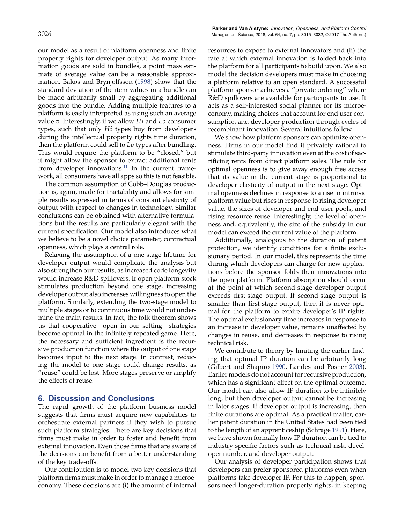our model as a result of platform openness and finite property rights for developer output. As many information goods are sold in bundles, a point mass estimate of average value can be a reasonable approximation. Bakos and Brynjolfsson [\(1998\)](#page-17-24) show that the standard deviation of the item values in a bundle can be made arbitrarily small by aggregating additional goods into the bundle. Adding multiple features to a platform is easily interpreted as using such an average value *v*. Interestingly, if we allow *Hi* and *Lo* consumer types, such that only *Hi* types buy from developers during the intellectual property rights time duration, then the platform could sell to *Lo* types after bundling. This would require the platform to be "closed," but it might allow the sponsor to extract additional rents from developer innovations. $11$  In the current framework, all consumers have all apps so this is not feasible.

<span id="page-12-0"></span>The common assumption of Cobb–Douglas production is, again, made for tractability and allows for simple results expressed in terms of constant elasticity of output with respect to changes in technology. Similar conclusions can be obtained with alternative formulations but the results are particularly elegant with the current specification. Our model also introduces what we believe to be a novel choice parameter, contractual openness, which plays a central role.

Relaxing the assumption of a one-stage lifetime for developer output would complicate the analysis but also strengthen our results, as increased code longevity would increase R&D spillovers. If open platform stock stimulates production beyond one stage, increasing developer output also increases willingness to open the platform. Similarly, extending the two-stage model to multiple stages or to continuous time would not undermine the main results. In fact, the folk theorem shows us that cooperative—open in our setting—strategies become optimal in the infinitely repeated game. Here, the necessary and sufficient ingredient is the recursive production function where the output of one stage becomes input to the next stage. In contrast, reducing the model to one stage could change results, as "reuse" could be lost. More stages preserve or amplify the effects of reuse.

# **6. Discussion and Conclusions**

The rapid growth of the platform business model suggests that firms must acquire new capabilities to orchestrate external partners if they wish to pursue such platform strategies. There are key decisions that firms must make in order to foster and benefit from external innovation. Even those firms that are aware of the decisions can benefit from a better understanding of the key trade-offs.

Our contribution is to model two key decisions that platform firms must make in order to manage a microeconomy. These decisions are (i) the amount of internal resources to expose to external innovators and (ii) the rate at which external innovation is folded back into the platform for all participants to build upon. We also model the decision developers must make in choosing a platform relative to an open standard. A successful platform sponsor achieves a "private ordering" where R&D spillovers are available for participants to use. It acts as a self-interested social planner for its microeconomy, making choices that account for end user consumption and developer production through cycles of recombinant innovation. Several intuitions follow.

We show how platform sponsors can optimize openness. Firms in our model find it privately rational to stimulate third-party innovation even at the cost of sacrificing rents from direct platform sales. The rule for optimal openness is to give away enough free access that its value in the current stage is proportional to developer elasticity of output in the next stage. Optimal openness declines in response to a rise in intrinsic platform value but rises in response to rising developer value, the sizes of developer and end user pools, and rising resource reuse. Interestingly, the level of openness and, equivalently, the size of the subsidy in our model can exceed the current value of the platform.

Additionally, analogous to the duration of patent protection, we identify conditions for a finite exclusionary period. In our model, this represents the time during which developers can charge for new applications before the sponsor folds their innovations into the open platform. Platform absorption should occur at the point at which second-stage developer output exceeds first-stage output. If second-stage output is smaller than first-stage output, then it is never optimal for the platform to expire developer's IP rights. The optimal exclusionary time increases in response to an increase in developer value, remains unaffected by changes in reuse, and decreases in response to rising technical risk.

We contribute to theory by limiting the earlier finding that optimal IP duration can be arbitrarily long (Gilbert and Shapiro [1990,](#page-17-10) Landes and Posner [2003\)](#page-18-14). Earlier models do not account for recursive production, which has a significant effect on the optimal outcome. Our model can also allow IP duration to be infinitely long, but then developer output cannot be increasing in later stages. If developer output is increasing, then finite durations are optimal. As a practical matter, earlier patent duration in the United States had been tied to the length of an apprenticeship (Schrage [1991\)](#page-18-22). Here, we have shown formally how IP duration can be tied to industry-specific factors such as technical risk, developer number, and developer output.

Our analysis of developer participation shows that developers can prefer sponsored platforms even when platforms take developer IP. For this to happen, sponsors need longer-duration property rights, in keeping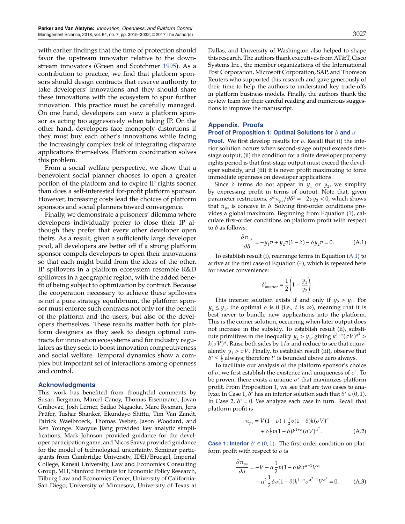with earlier findings that the time of protection should favor the upstream innovator relative to the downstream innovators (Green and Scotchmer [1995\)](#page-17-7). As a contribution to practice, we find that platform sponsors should design contracts that reserve authority to take developers' innovations and they should share these innovations with the ecosystem to spur further innovation. This practice must be carefully managed. On one hand, developers can view a platform sponsor as acting too aggressively when taking IP. On the other hand, developers face monopoly distortions if they must buy each other's innovations while facing the increasingly complex task of integrating disparate applications themselves. Platform coordination solves this problem.

From a social welfare perspective, we show that a benevolent social planner chooses to open a greater portion of the platform and to expire IP rights sooner than does a self-interested for-profit platform sponsor. However, increasing costs lead the choices of platform sponsors and social planners toward convergence.

Finally, we demonstrate a prisoners' dilemma where developers individually prefer to close their IP although they prefer that every other developer open theirs. As a result, given a sufficiently large developer pool, all developers are better off if a strong platform sponsor compels developers to open their innovations so that each might build from the ideas of the other. IP spillovers in a platform ecosystem resemble R&D spillovers in a geographic region, with the added benefit of being subject to optimization by contract. Because the cooperation necessary to achieve these spillovers is not a pure strategy equilibrium, the platform sponsor must enforce such contracts not only for the benefit of the platform and the users, but also of the developers themselves. These results matter both for platform designers as they seek to design optimal contracts for innovation ecosystems and for industry regulators as they seek to boost innovation competitiveness and social welfare. Temporal dynamics show a complex but important set of interactions among openness and control.

#### **Acknowledgments**

This work has benefited from thoughtful comments by Susan Bergman, Marcel Canoy, Thomas Eisenmann, Jovan Grahovac, Josh Lerner, Sadao Nagaoka, Marc Rysman, Jens Prüfer, Tushar Shanker, Ekundayo Shittu, Tim Van Zandt, Patrick Waelbroeck, Thomas Weber, Jason Woodard, and Ken Younge. Xiaoyue Jiang provided key analytic simplifications, Mark Johnson provided guidance for the developer participation game, and Nicos Savva provided guidance for the model of technological uncertainty. Seminar participants from Cambridge University, IDEI/Bruegel, Imperial College, Kansai University, Law and Economics Consulting Group, MIT, Stanford Institute for Economic Policy Research, Tilburg Law and Economics Center, University of California-San Diego, University of Minnesota, University of Texas at Dallas, and University of Washington also helped to shape this research. The authors thank executives from AT&T, Cisco Systems Inc., the member organizations of the International Post Corporation, Microsoft Corporation, SAP, and Thomson Reuters who supported this research and gave generously of their time to help the authors to understand key trade-offs in platform business models. Finally, the authors thank the review team for their careful reading and numerous suggestions to improve the manuscript.

#### **Appendix. Proofs**

# **Proof of Proposition [1:](#page-6-3) Optimal Solutions for** δ **and** σ

**Proof.** We first develop results for  $\delta$ . Recall that (i) the interior solution occurs when second-stage output exceeds firststage output, (ii) the condition for a finite developer property rights period is that first-stage output must exceed the developer subsidy, and (iii) it is never profit maximizing to force immediate openness on developer applications.

Since  $\delta$  terms do not appear in  $y_1$  or  $y_2$ , we simplify by expressing profit in terms of output. Note that, given parameter restrictions,  $\partial^2 \pi_{ps}/\partial \delta^2 = -2v y_2 < 0$ , which shows that  $π<sub>ps</sub>$  is concave in δ. Solving first-order conditions provides a global maximum. Beginning from Equation [\(1\)](#page-5-2), calculate first-order conditions on platform profit with respect to  $\delta$  as follows:

<span id="page-13-0"></span>
$$
\frac{\partial \pi_{ps}}{\partial \delta} = -y_1 v + y_2 v (1 - \delta) - \delta y_2 v = 0.
$$
 (A.1)

To establish result (i), rearrange terms in Equation [\(A.1\)](#page-13-0) to arrive at the first case of Equation [\(4\)](#page-6-0), which is repeated here for reader convenience:

$$
\delta^*_{\text{interior}} = \frac{1}{2} \left( 1 - \frac{y_1}{y_2} \right).
$$

This interior solution exists if and only if  $y_2 > y_1$ . For  $y_2 \leq y_1$ , the optimal  $\delta$  is 0 (i.e., *t* is  $\infty$ ), meaning that it is best never to bundle new applications into the platform. This is the corner solution, occurring when later output does not increase in the subsidy. To establish result (ii), substitute primitives in the inequality  $y_2 > y_1$ , giving  $k^{1+\alpha} (\sigma V)^{\alpha^2} >$  $k(\sigma V)^{\alpha}$ . Raise both sides by  $1/\alpha$  and reduce to see that equivalently  $y_1 > \sigma V$ . Finally, to establish result (iii), observe that  $\delta^* \leq \frac{1}{2}$  always; therefore *t*<sup>\*</sup> is bounded above zero always.

To facilitate our analysis of the platform sponsor's choice of  $\sigma$ , we first establish the existence and uniqueness of  $\sigma^*$ . To be proven, there exists a unique  $\sigma^*$  that maximizes platform profit. From Proposition [1,](#page-6-3) we see that are two cases to analyze. In Case 1,  $\delta^*$  has an interior solution such that  $\delta^* \in (0,1)$ . In Case 2,  $\delta^* = 0$ . We analyze each case in turn. Recall that platform profit is

$$
\pi_{ps} = V(1 - \sigma) + \frac{1}{2}\sigma(1 - \delta)k(\sigma V)^{\alpha}
$$

$$
+ \delta \frac{1}{2}\sigma(1 - \delta)k^{1+\alpha}(\sigma V)^{\alpha^2}.
$$
 (A.2)

**Case 1: Interior**  $\delta^* \in (0, 1)$ . The first-order condition on platform profit with respect to  $\sigma$  is

$$
\frac{\partial \pi_{ps}}{\partial \sigma} = -V + \alpha \frac{1}{2} v (1 - \delta) k \sigma^{\alpha - 1} V^{\alpha} \n+ \alpha^2 \frac{1}{2} \delta v (1 - \delta) k^{1 + \alpha} \sigma^{\alpha^2 - 1} V^{\alpha^2} = 0.
$$
\n(A.3)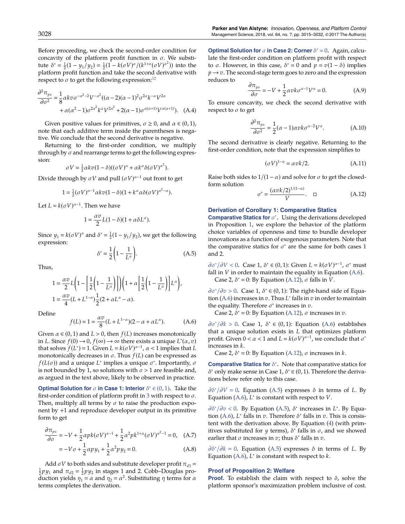Before proceeding, we check the second-order condition for concavity of the platform profit function in  $\sigma$ . We substitute  $\delta^* = \frac{1}{2}(1 - y_1/y_2) = \frac{1}{2}(1 - k(\sigma V)^{\alpha}/(k^{1+\alpha}(\sigma V)^{\alpha^2}))$  into the platform profit function and take the second derivative with respect to  $\sigma$  to get the following expression:<sup>[12](#page-17-40)</sup>

$$
\frac{\partial^2 \pi_{ps}}{\partial \sigma^2} = \frac{1}{8} \alpha k \sigma^{-\alpha^2 - 2} V^{-\alpha^2} ((\alpha - 2)(\alpha - 1)^2 \sigma^{2\alpha} k^{-\alpha} V^{2\alpha} + \alpha (\alpha^2 - 1) \sigma^{2\alpha^2} k^{\alpha} V^{2\alpha^2} + 2(\alpha - 1) \sigma^{\alpha(\alpha + 1)} V^{\alpha(\alpha + 1)}.
$$
 (A.4)

Given positive values for primitives,  $\sigma \geq 0$ , and  $\alpha \in (0, 1)$ , note that each additive term inside the parentheses is negative. We conclude that the second derivative is negative.

Returning to the first-order condition, we multiply through by  $\sigma$  and rearrange terms to get the following expression:

$$
\sigma V = \frac{1}{2} \alpha k v (1 - \delta) ((\sigma V)^{\alpha} + \alpha k^{\alpha} \delta (\sigma V)^{\alpha^2}).
$$

Divide through by σ*V* and pull (σ*V*) <sup>α</sup>−<sup>1</sup> out front to get

$$
1 = \frac{1}{2} (\sigma V)^{\alpha - 1} \alpha k v (1 - \delta) (1 + k^{\alpha} \alpha \delta (\sigma V)^{\alpha^2 - \alpha}).
$$

Let  $L = k(\sigma V)^{\alpha-1}$ . Then we have

$$
1 = \frac{\alpha v}{2}L(1 - \delta)(1 + \alpha \delta L^{\alpha}).
$$

Since  $y_1 = k(\sigma V)^{\alpha}$  and  $\delta^* = \frac{1}{2}(1 - y_1/y_2)$ , we get the following expression:

<span id="page-14-2"></span>
$$
\delta^* = \frac{1}{2} \left( 1 - \frac{1}{L^{\alpha}} \right). \tag{A.5}
$$

Thus,

$$
1 = \frac{\alpha v}{2} L \left( 1 - \left[ \frac{1}{2} \left( 1 - \frac{1}{L^{\alpha}} \right) \right] \right) \left( 1 + \alpha \left[ \frac{1}{2} \left( 1 - \frac{1}{L^{\alpha}} \right) \right] L^{\alpha} \right),
$$
  

$$
1 = \frac{\alpha v}{4} (L + L^{1-\alpha}) \frac{1}{2} (2 + \alpha L^{\alpha} - \alpha).
$$

Define

<span id="page-14-0"></span>
$$
f(L) = 1 = \frac{\alpha v}{8} (L + L^{1-\alpha})(2 - \alpha + \alpha L^{\alpha}).
$$
 (A.6)

Given  $\alpha \in (0, 1)$  and  $L > 0$ , then  $f(L)$  increases monotonically in *L*. Since  $f(0) \to 0$ ,  $f(\infty) \to \infty$  there exists a unique  $L^*(\alpha, v)$ that solves  $f(L^*) = 1$ . Given  $L = k(\sigma V)^{\alpha-1}$ ,  $\alpha < 1$  implies that *L* monotonically decreases in  $\sigma$ . Thus  $f(L)$  can be expressed as *f*( $L(\sigma)$ ) and a unique  $L^*$  implies a unique  $\sigma^*$ . Importantly,  $\sigma$ is not bounded by 1, so solutions with  $\sigma > 1$  are feasible and, as argued in the text above, likely to be observed in practice.

**Optimal Solution for**  $\sigma$  in Case 1: Interior  $\delta^* \in (0,1)$ . Take the first-order condition of platform profit in [3](#page-6-4) with respect to  $\sigma$ . Then, multiply all terms by  $\sigma$  to raise the production exponent by +1 and reproduce developer output in its primitive form to get

$$
\frac{\partial \pi_{ps}}{\partial \sigma} = -V + \frac{1}{2} \alpha p k (\sigma V)^{\alpha - 1} + \frac{1}{2} \alpha^2 p k^{1 + \alpha} (\sigma V)^{\alpha^2 - 1} = 0, \quad (A.7)
$$

$$
= -V\sigma + \frac{1}{2}\alpha py_1 + \frac{1}{2}\alpha^2 py_2 = 0.
$$
 (A.8)

Add  $\sigma V$  to both sides and substitute developer profit  $\pi_{d1}$  =  $\frac{1}{2}py_1$  and  $\pi_{d2} = \frac{1}{2}py_2$  in stages 1 and 2. Cobb–Douglas production yields  $η_1 = α$  and  $η_2 = α^2$ . Substituting  $η$  terms for  $α$ terms completes the derivation.

**Optimal Solution for** σ **in Case 2: Corner** δ<sup>\*</sup> = 0. Again, calculate the first-order condition on platform profit with respect to  $\sigma$ . However, in this case,  $\delta^* = 0$  and  $p = v(1 - \delta)$  implies  $p \rightarrow v$ . The second-stage term goes to zero and the expression reduces to

$$
\frac{\partial \pi_{ps}}{\partial \sigma} = -V + \frac{1}{2} \alpha v k \sigma^{\alpha - 1} V^{\alpha} = 0.
$$
 (A.9)

<span id="page-14-3"></span>To ensure concavity, we check the second derivative with respect to  $\sigma$  to get

$$
\frac{\partial^2 \pi_{ps}}{\partial \sigma^2} = \frac{1}{2} (\alpha - 1) \alpha v k \sigma^{\alpha - 2} V^{\alpha}.
$$
 (A.10)

The second derivative is clearly negative. Returning to the first-order condition, note that the expression simplifies to

$$
(\sigma V)^{1-\alpha} = \alpha v k/2.
$$
 (A.11)

Raise both sides to  $1/(1 - \alpha)$  and solve for  $\sigma$  to get the closedform solution

<span id="page-14-1"></span>
$$
\sigma^* = \frac{(\alpha \nu k/2)^{1/(1-\alpha)}}{V}.\quad \Box \tag{A.12}
$$

# **Derivation of Corollary [1:](#page-7-1) Comparative Statics**

**Comparative Statics for** σ ∗ **.** Using the derivations developed in Proposition [1,](#page-6-3) we explore the behavior of the platform choice variables of openness and time to bundle developer innovations as a function of exogenous parameters. Note that the comparative statics for  $\sigma^*$  are the same for both cases 1 and 2.

 $\partial σ^* / \partial V < 0$ . Case 1, δ<sup>\*</sup> ∈ (0, 1): Given *L* =  $k(σV)^{α-1}$ , σ<sup>\*</sup> must fall in  $V$  in order to maintain the equality in Equation  $(A.6)$ . Case 2,  $\delta^* = 0$ : By Equation [\(A.12\)](#page-14-1),  $\sigma$  falls in  $\hat{V}$ .

 $\partial \sigma^* / \partial v > 0$ . Case 1,  $\delta^* \in (0, 1)$ : The right-hand side of Equation [\(A.6\)](#page-14-0) increases in *v*. Thus *L* ∗ falls in *v* in order to maintain the equality. Therefore  $\sigma^*$  increases in  $v$ .

Case 2,  $\delta^* = 0$ : By Equation [\(A.12\)](#page-14-1),  $\sigma$  increases in  $v$ .

 $∂σ<sup>*</sup> / ∂k > 0$ . Case 1,  $δ<sup>*</sup> ∈ (0, 1)$ : Equation [\(A.6\)](#page-14-0) establishes that a unique solution exists in *L* that optimizes platform profit. Given  $0 < \alpha < 1$  and  $L = k(\sigma V)^{\alpha-1}$ , we conclude that  $\sigma^*$ increases in *k*.

Case 2,  $\delta^* = 0$ : By Equation [\(A.12\)](#page-14-1),  $\sigma$  increases in  $k$ .

**Comparative Statics for** δ ∗ **.** Note that comparative statics for  $δ<sup>∗</sup>$  only make sense in Case 1,  $δ<sup>∗</sup> ∈ (0, 1)$ . Therefore the derivations below refer only to this case.

 $\partial \delta^* / \partial V = 0$ . Equation [\(A.5\)](#page-14-2) expresses  $\delta$  in terms of *L*. By Equation [\(A.6\)](#page-14-0), *L* ∗ is constant with respect to *V*.

∂δ<sup>∗</sup> /∂*v* < 0*.* By Equation [\(A.5\)](#page-14-2), δ ∗ increases in *L* ∗ . By Equa-tion [\(A.6\)](#page-14-0),  $L^*$  falls in  $v$ . Therefore  $\delta^*$  falls in  $v$ . This is consistent with the derivation above. By Equation [\(4\)](#page-6-0) (with primitives substituted for *y* terms),  $\delta^*$  falls in  $\sigma$ , and we showed earlier that  $\sigma$  increases in  $v$ ; thus  $\delta^*$  falls in  $v$ .

 $\partial \delta^* / \partial k = 0$ . Equation [\(A.5\)](#page-14-2) expresses  $\delta$  in terms of *L*. By Equation  $(A.6)$ ,  $L^*$  is constant with respect to  $k$ .

#### **Proof of Proposition [2:](#page-8-0) Welfare**

**Proof.** To establish the claim with respect to  $\delta$ , solve the platform sponsor's maximization problem inclusive of cost.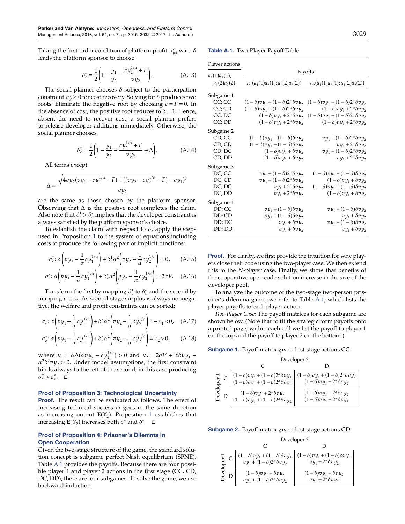Taking the first-order condition of platform profit  $\pi_{ps}^c$  w.r.t.  $\delta$ leads the platform sponsor to choose

$$
\delta_c^* = \frac{1}{2} \left( 1 - \frac{y_1}{y_2} - \frac{c y_2^{1/\alpha} + F}{v y_2} \right). \tag{A.13}
$$

The social planner chooses  $\delta$  subject to the participation constraint  $\pi_d^c \geq 0$  for cost recovery. Solving for  $\delta$  produces two roots. Eliminate the negative root by choosing  $c = F = 0$ . In the absence of cost, the positive root reduces to  $\delta = 1$ . Hence, absent the need to recover cost, a social planner prefers to release developer additions immediately. Otherwise, the social planner chooses

$$
\delta_c^+ = \frac{1}{2} \left( 1 - \frac{y_1}{y_2} - \frac{c y_2^{1/\alpha} + F}{v y_2} + \Delta \right). \tag{A.14}
$$

All terms except

$$
\Delta = \frac{\sqrt{4v y_2 (v y_1 - c y_1^{1/\alpha} - F) + ((v y_2 - c y_2^{1/\alpha} - F) - v y_1)^2}}{v y_2}
$$

are the same as those chosen by the platform sponsor. Observing that  $\Delta$  is the positive root completes the claim. Also note that  $\delta_c^{\dagger} > \delta_c^*$  implies that the developer constraint is always satisfied by the platform sponsor's choice.

To establish the claim with respect to  $\sigma$ , apply the steps used in Proposition [1](#page-6-3) to the system of equations including costs to produce the following pair of implicit functions:

$$
\sigma_c^{\dagger} : \alpha \left(v y_1 - \frac{1}{\alpha} c y_1^{1/\alpha}\right) + \delta_c^{\dagger} \alpha^2 \left(v y_2 - \frac{1}{\alpha} c y_2^{1/\alpha}\right) = 0, \quad (A.15)
$$

$$
\sigma_c^* \colon \alpha \left( p \, y_1 - \frac{1}{\alpha} c \, y_1^{1/\alpha} \right) + \delta_c^* \alpha^2 \left( p \, y_2 - \frac{1}{\alpha} c \, y_2^{1/\alpha} \right) = 2 \sigma V. \tag{A.16}
$$

Transform the first by mapping  $\delta_c^{\dagger}$  to  $\delta_c^*$  and the second by mapping *p* to *v*. As second-stage surplus is always nonnegative, the welfare and profit constraints can be sorted:

$$
\sigma_c^{\dagger} : \alpha \left( v y_1 - \frac{1}{\alpha} c y_1^{1/\alpha} \right) + \delta_c^* \alpha^2 \left( v y_2 - \frac{1}{\alpha} c y_2^{1/\alpha} \right) = -\kappa_1 < 0, \quad (A.17)
$$

$$
\sigma_c^* \colon \alpha \left(v y_1 - \frac{1}{\alpha} c y_1^{1/\alpha}\right) + \delta_c^* \alpha^2 \left(v y_2 - \frac{1}{\alpha} c y_2^{1/\alpha}\right) = \kappa_2 > 0,\qquad(A.18)
$$

where  $\kappa_1 = \alpha \Delta(\alpha v y_2 - c y_2^{1/\alpha}) > 0$  and  $\kappa_2 = 2\sigma V + \alpha \delta v y_1 + c$  $\alpha^2 \delta^2 v y_2 > 0$ . Under model assumptions, the first constraint binds always to the left of the second, in this case producing  $\sigma_c^{\dagger} > \sigma_c^*$ .  $\Box$ 

#### **Proof of Proposition [3:](#page-8-1) Technological Uncertainty**

**Proof.** The result can be evaluated as follows. The effect of increasing technical success  $\omega$  goes in the same direction as increasing output  $E(Y_2)$ . Proposition [1](#page-6-3) establishes that increasing  $\mathbf{E}(Y_2)$  increases both  $\sigma^*$  and  $\delta^*$ .  $\Box$ 

# **Proof of Proposition [4:](#page-10-1) Prisoner's Dilemma in Open Cooperation**

Given the two-stage structure of the game, the standard solution concept is subgame perfect Nash equilibrium (SPNE). Table [A.1](#page-15-0) provides the payoffs. Because there are four possible player 1 and player 2 actions in the first stage (CC, CD, DC, DD), there are four subgames. To solve the game, we use backward induction.

<span id="page-15-0"></span>**Table A.1.** Two-Player Payoff Table

| Player actions                                    |                                                                                                                                                                    |                                                                                                                                                                          |  |  |
|---------------------------------------------------|--------------------------------------------------------------------------------------------------------------------------------------------------------------------|--------------------------------------------------------------------------------------------------------------------------------------------------------------------------|--|--|
| $a_1(1)a_2(1);$                                   | Payoffs                                                                                                                                                            |                                                                                                                                                                          |  |  |
| $a_1(2)a_2(2)$                                    | $\pi_1(a_1(1)a_2(1); a_1(2)a_2(2))$                                                                                                                                | $\pi_2(a_1(1)a_2(1); a_1(2)a_2(2))$                                                                                                                                      |  |  |
| Subgame 1                                         |                                                                                                                                                                    |                                                                                                                                                                          |  |  |
| CC; CC<br>CC; CD                                  | $(1-\delta)v y_1 + (1-\delta)2^{\alpha} \delta v y_2$                                                                                                              | $(1-\delta)v y_1 + (1-\delta)2^{\alpha} \delta v y_2$ $(1-\delta)v y_1 + (1-\delta)2^{\alpha} \delta v y_2$<br>$(1-\delta)v y_1 + 2^{\alpha} \delta v y_2$               |  |  |
| CC; DC<br>CC; DD                                  | $(1 - \delta)v y_1 + 2^{\alpha} \delta v y_2$<br>$(1 - \delta)v y_1 + 2^{\alpha} \delta v y_2$                                                                     | $(1-\delta)v y_1 + (1-\delta)2^{\alpha} \delta v y_2$<br>$(1-\delta)v y_1 + 2^{\alpha} \delta v y_2$                                                                     |  |  |
| Subgame 2<br>CD; CC<br>CD; CD<br>CD; DC<br>CD; DD | $(1-\delta)v y_1 + (1-\delta)\delta v y_2$<br>$(1-\delta)v y_1 + (1-\delta)\delta v y_2$<br>$(1 - \delta)v y_1 + \delta v y_2$<br>$(1-\delta)v y_1 + \delta v y_2$ | $vy_1 + (1 - \delta)2^{\alpha} \delta vy_2$<br>$vy_1 + 2^{\alpha} \delta vy_2$<br>$vy_1 + (1 - \delta)2^{\alpha} \delta vy_2$<br>$vy_1 + 2^{\alpha} \delta vy_2$         |  |  |
| Subgame 3<br>DC; CC<br>DC; CD<br>DC; DC<br>DC;DD  | $vy_1 + (1 - \delta)2^{\alpha} \delta vy_2$<br>$vy_1 + (1 - \delta)2^{\alpha} \delta vy_2$<br>$vy_1 + 2^{\alpha} \delta vy_2$<br>$vy_1 + 2^{\alpha} \delta vy_2$   | $(1 - \delta)v y_1 + (1 - \delta)\delta v y_2$<br>$(1-\delta)v y_1 + \delta v y_2$<br>$(1 - \delta)v y_1 + (1 - \delta)\delta v y_2$<br>$(1-\delta)v y_1 + \delta v y_2$ |  |  |
| Subgame 4<br>DD; CC<br>DD; CD<br>DD; DC<br>DD; DD | $v y_1 + (1 - \delta) \delta v y_2$<br>$vy_1 + (1 - \delta)\delta vy_2$<br>$v y_1 + \delta v y_2$<br>$vy_1 + \delta vy_2$                                          | $vy_1 + (1 - \delta)\delta vy_2$<br>$vy_1 + \delta vy_2$<br>$vy_1 + (1 - \delta)\delta vy_2$<br>$vy_1 + \delta vy_2$                                                     |  |  |

**Proof.** For clarity, we first provide the intuition for why players close their code using the two-player case. We then extend this to the *N*-player case. Finally, we show that benefits of the cooperative open code solution increase in the size of the developer pool.

To analyze the outcome of the two-stage two-person prisoner's dilemma game, we refer to Table [A.1,](#page-15-0) which lists the player payoffs to each player action.

*Two-Player Case:* The payoff matrices for each subgame are shown below. (Note that to fit the strategic form payoffs onto a printed page, within each cell we list the payoff to player 1 on the top and the payoff to player 2 on the bottom.)

**Subgame 1.** Payoff matrix given first-stage actions CC

|  | Developer 2                                                                                                                             |                                                                                                      |  |  |
|--|-----------------------------------------------------------------------------------------------------------------------------------------|------------------------------------------------------------------------------------------------------|--|--|
|  |                                                                                                                                         |                                                                                                      |  |  |
|  | $\begin{array}{l} (1-\delta)v\,y_1+(1-\delta)2^\alpha \delta v\,y_2\\ (1-\delta)v\,y_1+(1-\delta)2^\alpha \delta v\,y_2 \end{array}$    | $(1-\delta)v y_1 + (1-\delta)2^{\alpha} \delta v y_2$<br>$(1-\delta)v y_1 + 2^{\alpha} \delta v y_2$ |  |  |
|  | $\begin{array}{l} (1-\delta)v\,y_1 + 2^\alpha \delta v \,y_2 \\ \quad - \delta)v\,y_1 + (1-\delta) 2^\alpha \delta v \,y_2 \end{array}$ | $(1-\delta)v y_1 + 2^{\alpha} \delta v y_2$<br>$(1-\delta)v y_1 + 2^{\alpha} \delta v y_2$           |  |  |

**Subgame 2.** Payoff matrix given first-stage actions CD

|        | Developer 2                                                                                  |                                                                                 |  |  |
|--------|----------------------------------------------------------------------------------------------|---------------------------------------------------------------------------------|--|--|
|        |                                                                                              |                                                                                 |  |  |
|        | $\frac{(1-\delta)v y_1 + (1-\delta)\delta v y_2}{v y_1 + (1-\delta)2^{\alpha} \delta v y_2}$ | $(1-\delta)v y_1 + (1-\delta)\delta v y_2$<br>$v\,u_1 + 2^\alpha \delta v\,u_2$ |  |  |
| $spec$ | $(1-\delta)v y_1 + \delta v y_2$<br>$v y_1 + (1 - \delta) 2^{\alpha} \delta v y_2$           | $(1-\delta)v\,y_1 + \delta v\,y_2$<br>$v\,u_1 + 2^\alpha \delta v\,u_2$         |  |  |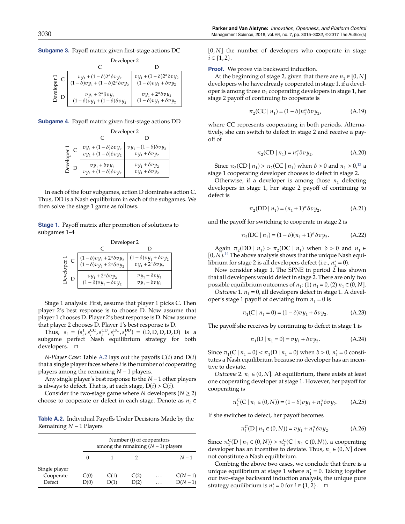**Subgame 3.** Payoff matrix given first-stage actions DC

|        | Developer 2 |                                                                                                                                |                                                                                   |  |  |
|--------|-------------|--------------------------------------------------------------------------------------------------------------------------------|-----------------------------------------------------------------------------------|--|--|
|        |             |                                                                                                                                |                                                                                   |  |  |
|        |             | $\begin{array}{c} v y_1 + (1-\delta) 2^\alpha \delta v y_2 \\ (1-\delta) v y_1 + (1-\delta) 2^\alpha \delta v y_2 \end{array}$ | $v y_1 + (1-\delta)2^{\alpha} \delta v y_2$<br>$(1 - \delta)v y_1 + \delta v y_2$ |  |  |
| evelop |             | $vy_1 + 2^{\alpha} \delta vy_2$<br>$(1 - \delta)v y_1 + (1 - \delta)\delta v y_2$                                              | $vy_1 + 2^{\alpha} \delta vy_2$<br>$(1-\delta)v\,y_1+\delta v\,y_2$               |  |  |

**Subgame 4.** Payoff matrix given first-stage actions DD

|   |   | Developer 2                                                                                         |                                                          |  |  |  |
|---|---|-----------------------------------------------------------------------------------------------------|----------------------------------------------------------|--|--|--|
|   |   |                                                                                                     |                                                          |  |  |  |
| ž |   | $\begin{array}{l} v\,y_1 + (1-\delta)\delta v\,y_2 \\ v\,y_1 + (1-\delta)\delta v\,y_2 \end{array}$ | $vy_1 + (1 - \delta)\delta vy_2$<br>$vy_1 + \delta vy_2$ |  |  |  |
|   | D | $\begin{array}{c} vy_1 + \delta vy_2\\ vy_1 + (1-\delta) \delta vy_2 \end{array}$                   | $vy_1 + \delta vy_2$<br>$vy_1 + \delta vy_2$             |  |  |  |

In each of the four subgames, action D dominates action C. Thus, DD is a Nash equilibrium in each of the subgames. We then solve the stage 1 game as follows.

**Stage 1.** Payoff matrix after promotion of solutions to subgames 1–4

|  | Developer 2                                                                                                             |                                                                       |  |  |
|--|-------------------------------------------------------------------------------------------------------------------------|-----------------------------------------------------------------------|--|--|
|  |                                                                                                                         |                                                                       |  |  |
|  | $\begin{array}{c}\n(1-\delta)v y_1 + 2^{\alpha} \delta v y_2 \\ (1-\delta)v y_1 + 2^{\alpha} \delta v y_2\n\end{array}$ | $(1 - \delta)v y_1 + \delta v y_2$<br>$vy_1 + 2^{\alpha} \delta vy_2$ |  |  |
|  | $vy_1 + 2^{\alpha} \delta vy_2$<br>$(1-\delta)v y_1 + \delta v y_2$                                                     | $vy_1 + \delta vy_2$<br>$vy_1 + \delta vy_2$                          |  |  |

Stage 1 analysis: First, assume that player 1 picks C. Then player 2's best response is to choose D. Now assume that player 1 chooses D. Player 2's best response is D. Now assume that player 2 chooses D. Player 1's best response is D.

Thus,  $s_i = (s_i^1, s_i^{\text{CC}}, s_i^{\text{CD}}, s_i^{\text{DC}}, s_i^{\text{DD}}) = (\hat{D}, D, D, D, D)$  is a subgame perfect Nash equilibrium strategy for both developers. □

*N-Player Case:* Table [A.2](#page-16-0) lays out the payoffs C(*i*) and D(*i*) that a single player faces where *i* is the number of cooperating players among the remaining *N* −1 players.

Any single player's best response to the *N* −1 other players is always to defect. That is, at each stage,  $D(i) > C(i)$ .

Consider the two-stage game where *N* developers ( $N \geq 2$ ) choose to cooperate or defect in each stage. Denote as  $n_i \in$ 

<span id="page-16-0"></span>**Table A.2.** Individual Payoffs Under Decisions Made by the Remaining *N* −1 Players

|                                      |              | Number (i) of cooperators<br>among the remaining $(N-1)$ players |              |        |                      |
|--------------------------------------|--------------|------------------------------------------------------------------|--------------|--------|----------------------|
|                                      |              |                                                                  |              |        | $N-1$                |
| Single player<br>Cooperate<br>Defect | C(0)<br>D(0) | C(1)                                                             | C(2)<br>D(2) | .<br>. | $C(N-1)$<br>$D(N-1)$ |

[0, *N*] the number of developers who cooperate in stage  $i \in \{1, 2\}.$ 

**Proof.** We prove via backward induction.

At the beginning of stage 2, given that there are  $n_1 \in [0, N]$ developers who have already cooperated in stage 1, if a developer is among those  $n_1$  cooperating developers in stage  $1$ , her stage 2 payoff of continuing to cooperate is

$$
\pi_2(CC \mid n_1) = (1 - \delta)n_1^{\alpha} \delta v y_2, \tag{A.19}
$$

where CC represents cooperating in both periods. Alternatively, she can switch to defect in stage 2 and receive a payoff of

<span id="page-16-1"></span>
$$
\pi_2(CD \mid n_1) = n_1^{\alpha} \delta v y_2.
$$
 (A.20)

Since  $\pi_2(CD \mid n_1) > \pi_2(CC \mid n_1)$  when  $\delta > 0$  and  $n_1 > 0$ ,<sup>[13](#page-17-41)</sup> a stage 1 cooperating developer chooses to defect in stage 2.

Otherwise, if a developer is among those  $n_1$  defecting developers in stage 1, her stage 2 payoff of continuing to defect is

$$
\pi_2(DD \mid n_1) = (n_1 + 1)^{\alpha} \delta v y_2, \tag{A.21}
$$

and the payoff for switching to cooperate in stage 2 is

$$
\pi_2(DC \mid n_1) = (1 - \delta)(n_1 + 1)^{\alpha} \delta v y_2.
$$
 (A.22)

<span id="page-16-2"></span>Again  $\pi_2(DD \mid n_1) > \pi_2(DC \mid n_1)$  when  $\delta > 0$  and  $n_1 \in$  $[0, N)$ .<sup>[14](#page-17-42)</sup> The above analysis shows that the unique Nash equilibrium for stage 2 is all developers defect (i.e.,  $n_2^* = 0$ ).

Now consider stage 1. The SPNE in period 2 has shown that all developers would defect in stage 2. There are only two possible equilibrium outcomes of  $n_1$ : (1)  $n_1 = 0$ , (2)  $n_1 \in (0, N]$ .

*Outcome* 1.  $n_1 = 0$ , all developers defect in stage 1. A developer's stage 1 payoff of deviating from  $n_1 = 0$  is

$$
\pi_1(C \mid n_1 = 0) = (1 - \delta)v y_1 + \delta v y_2. \tag{A.23}
$$

The payoff she receives by continuing to defect in stage 1 is

$$
\pi_1(D \mid n_1 = 0) = v y_1 + \delta v y_2. \tag{A.24}
$$

Since  $\pi_1(C \mid n_1 = 0) < \pi_1(D \mid n_1 = 0)$  when  $\delta > 0$ ,  $n_1^* = 0$  constitutes a Nash equilibrium because no developer has an incentive to deviate.

*Outcome* 2*.*  $n_1 \in (0, N]$ . At equilibrium, there exists at least one cooperating developer at stage 1. However, her payoff for cooperating is

$$
\pi_1^C(C \mid n_1 \in (0, N)) = (1 - \delta) v y_1 + n_1^{\alpha} \delta v y_2. \tag{A.25}
$$

If she switches to defect, her payoff becomes

$$
\pi_1^{\rm C}({\rm D}\,|\,\,n_1\in (0,N))=v\,y_1+n_1^\alpha\delta v\,y_2.\eqno({\rm A}.26)
$$

Since  $\pi_1^C(D \mid n_1 \in (0, N)) > \pi_1^C(C \mid n_1 \in (0, N))$ , a cooperating developer has an incentive to deviate. Thus,  $n_1 \in (0, N]$  does not constitute a Nash equilibrium.

Combing the above two cases, we conclude that there is a unique equilibrium at stage 1 where  $n_1^* = 0$ . Taking together our two-stage backward induction analysis, the unique pure strategy equilibrium is  $n_i^* = 0$  for  $i \in \{1, 2\}$ . □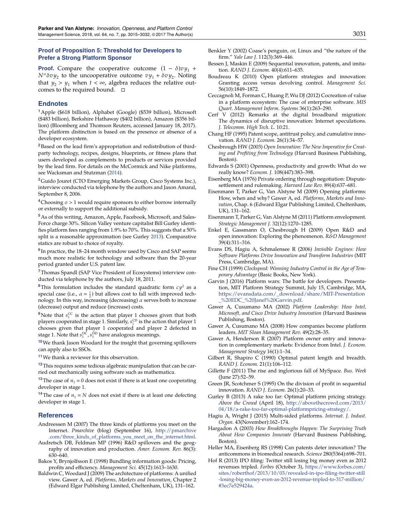# **Proof of Proposition [5:](#page-10-0) Threshold for Developers to Prefer a Strong Platform Sponsor**

**Proof.** Compare the cooperative outcome  $(1 - \delta)v y_1 +$  $N^{\alpha} \delta v y_2$  to the uncooperative outcome  $v y_1 + \delta v y_2$ . Noting that  $y_2 > y_1$  when  $t < \infty$ , algebra reduces the relative outcomes to the required bound.  $\square$ 

# **Endnotes**

<span id="page-17-0"></span>**[1](#page-1-0)**Apple (\$618 billion), Alphabet (Google) (\$539 billion), Microsoft (\$483 billion), Berkshire Hathaway (\$402 billion), Amazon (\$356 billion) (Bloomberg and Thomson Reuters, accessed January 18, 2017). The platform distinction is based on the presence or absence of a developer ecosystem.

<span id="page-17-2"></span>**[2](#page-1-1)**Based on the lead firm's appropriation and redistribution of thirdparty technology, recipes, designs, blueprints, or fitness plans that users developed as complements to products or services provided by the lead firm. For details on the McCormick and Nike platforms, see Wacksman and Stutzman [\(2014\)](#page-18-34).

<span id="page-17-3"></span>**[3](#page-2-0)**Guido Jouret (CTO Emerging Markets Group, Cisco Systems Inc.), interview conducted via telephone by the authors and Jason Amaral, September 8, 2006.

<span id="page-17-27"></span><sup>[4](#page-5-3)</sup>Choosing  $\sigma$  > 1 would require sponsors to either borrow internally or externally to support the additional subsidy.

<span id="page-17-28"></span>**[5](#page-5-4)**As of this writing, Amazon, Apple, Facebook, Microsoft, and Sales-Force charge 30%. Silicon Valley venture capitalist Bill Gurley identifies platform fees ranging from 1.9% to 70%. This suggests that a 50% split is a reasonable approximation (see Gurley [2013\)](#page-17-43). Comparative statics are robust to choice of royalty.

<span id="page-17-29"></span>**[6](#page-6-5)** In practice, the 18–24 month window used by Cisco and SAP seems much more realistic for technology and software than the 20-year period granted under U.S. patent law.

<span id="page-17-31"></span>**[7](#page-7-3)**Thomas Spandl (SAP Vice President of Ecosystems) interview conducted via telephone by the authors, July 18, 2011.

<span id="page-17-32"></span><sup>[8](#page-7-4)</sup>This formulation includes the standard quadratic form  $cy^2$  as a special case (i.e.,  $\alpha = \frac{1}{2}$ ) but allows cost to fall with improved technology. In this way, increasing (decreasing)  $\alpha$  serves both to increase (decrease) output and reduce (increase) costs.

<span id="page-17-33"></span><sup>[9](#page-9-2)</sup>Note that  $s_1^{\text{CC}}$  is the action that player 1 chooses given that both players cooperated in stage 1. Similarly,  $s_{1}^{\rm CD}$  is the action that player 1 chooses given that player 1 cooperated and player 2 defected in stage 1. Note that  $s_1^{\text{DC}}, s_1^{\text{DD}}$  have analogous meanings.

<span id="page-17-34"></span>**[10](#page-10-2)**We thank Jason Woodard for the insight that governing spillovers can apply also to SSOs.

<span id="page-17-39"></span>**[11](#page-12-0)**We thank a reviewer for this observation.

<span id="page-17-40"></span>**[12](#page-14-3)**This requires some tedious algebraic manipulation that can be carried out mechanically using software such as mathematica.

<span id="page-17-41"></span><sup>[13](#page-16-1)</sup>The case of  $n_1 = 0$  does not exist if there is at least one cooperating developer in stage 1.

<span id="page-17-42"></span><sup>[14](#page-16-2)</sup>The case of  $n_1 = N$  does not exist if there is at least one defecting developer in stage 1.

#### **References**

- <span id="page-17-4"></span>Andreessen M (2007) The three kinds of platforms you meet on the Internet. *Pmarchive* (blog) (September 16), [http://pmarchive](http://pmarchive.com/three_kinds_of_platforms_you_meet_on_the_internet.html) [.com/three\\_kinds\\_of\\_platforms\\_you\\_meet\\_on\\_the\\_internet.html.](http://pmarchive.com/three_kinds_of_platforms_you_meet_on_the_internet.html)
- <span id="page-17-25"></span>Audretsch DB, Feldman MP (1996) R&D spillovers and the geography of innovation and production. *Amer. Econom. Rev.* 86(3): 630–640.
- <span id="page-17-24"></span>Bakos Y, Brynjolfsson E (1998) Bundling information goods: Pricing, profits and efficiency. *Management Sci.* 45(12):1613–1630.
- <span id="page-17-35"></span>Baldwin C, Woodard J (2009) The architecture of platforms: A unified view. Gawer A, ed. *Platforms, Markets and Innovation*, Chapter 2 (Edward Elgar Publishing Limited, Cheltenham, UK), 131–162.
- <span id="page-17-21"></span>Benkler Y (2002) Coase's penguin, or, Linux and "the nature of the firm." *Yale Law J.* 112(3):369–446.
- <span id="page-17-9"></span>Bessen J, Maskin E (2009) Sequential innovation, patents, and imitation. *RAND J. Econom.* 40(4):611–635.
- <span id="page-17-12"></span>Boudreau K (2010) Open platform strategies and innovation: Granting access versus devolving control. *Management Sci.* 56(10):1849–1872.
- <span id="page-17-19"></span>Ceccagnoli M, Forman C, Huang P, Wu DJ (2012) Cocreation of value in a platform ecosystem: The case of enterprise software. *MIS Quart. Management Inform. Systems* 36(1):263–290.
- <span id="page-17-5"></span>Cerf V (2012) Remarks at the digital broadband migration: The dynamics of disruptive innovation: Internet speculations. *J. Telecomm. High Tech. L.* 10:21.
- <span id="page-17-8"></span>Chang HF (1995) Patent scope, antitrust policy, and cumulative innovation. *RAND J. Econom.* 26(1):34–57.
- <span id="page-17-1"></span>Chesbrough HW (2003) *Open Innovation: The New Imperative for Creating and Profiting from Technology* (Harvard Business Publishing, Boston).
- <span id="page-17-26"></span>Edwards S (2001) Openness, productivity and growth: What do we really know? *Econom. J.* 108(447):383–398.
- <span id="page-17-23"></span>Eisenberg MA (1976) Private ordering through negotiation: Disputesettlement and rulemaking. *Harvard Law Rev.* 89(4):637–681.
- <span id="page-17-22"></span>Eisenmann T, Parker G, Van Alstyne M (2009) Opening platforms: How, when and why? Gawer A, ed. *Platforms, Markets and Innovation*, Chap. 6 (Edward Elgar Publishing Limited, Cheltenham, UK), 131–162.
- <span id="page-17-13"></span>Eisenmann T, Parker G, Van Alstyne M (2011) Platform envelopment. *Strategic Management J.* 32(12):1270–1285.
- <span id="page-17-11"></span>Enkel E, Gassmann O, Chesbrough H (2009) Open R&D and open innovation: Exploring the phenomenon. *R&D Management* 39(4):311–316.
- <span id="page-17-14"></span>Evans DS, Hagiu A, Schmalensee R (2006) *Invisible Engines: How Software Platforms Drive Innovation and Transform Industries* (MIT Press, Cambridge, MA).
- <span id="page-17-36"></span>Fine CH (1999) *Clockspeed: Winning Industry Control in the Age of Temporary Advantage* (Basic Books, New York).
- <span id="page-17-38"></span>Garvin J (2016) Platform wars: The battle for developers. Presentation, MIT Platform Strategy Summit, July 15, Cambridge, MA, [https://evansdata.com/\\_download/share/MIT-Presentation](https://evansdata.com/_download/share/MIT-Presentation_%20EDC_%20Janel%20Garvin.pdf) [\\_%20EDC\\_%20Janel%20Garvin.pdf.](https://evansdata.com/_download/share/MIT-Presentation_%20EDC_%20Janel%20Garvin.pdf)
- <span id="page-17-15"></span>Gawer A, Cusumano MA (2002) *Platform Leadership: How Intel, Microsoft, and Cisco Drive Industry Innovation* (Harvard Business Publishing, Boston).
- <span id="page-17-16"></span>Gawer A, Cusumano MA (2008) How companies become platform leaders. *MIT Sloan Management Rev.* 49(2):28–35.
- <span id="page-17-17"></span>Gawer A, Henderson R (2007) Platform owner entry and innovation in complementary markets: Evidence from Intel. *J. Econom. Management Strategy* 16(1):1–34.
- <span id="page-17-10"></span>Gilbert R, Shapiro C (1990) Optimal patent length and breadth. *RAND J. Econom.* 21(1):106–112.
- <span id="page-17-6"></span>Gillette F (2011) The rise and inglorious fall of MySpace. *Bus. Week* (June 27):52–59.
- <span id="page-17-7"></span>Green JR, Scotchmer S (1995) On the division of profit in sequential innovation. *RAND J. Econom.* 26(1):20–33.
- <span id="page-17-43"></span>Gurley B (2013) A rake too far: Optimal platform pricing strategy. *Above the Crowd* (April 18), [http://abovethecrowd.com/2013/](http://abovethecrowd.com/2013/04/18/a-rake-too-far-optimal-platformpricing-strategy/) [04/18/a-rake-too-far-optimal-platformpricing-strategy/.](http://abovethecrowd.com/2013/04/18/a-rake-too-far-optimal-platformpricing-strategy/)
- <span id="page-17-18"></span>Hagiu A, Wright J (2015) Multi-sided platforms. *Internat. J. Indust. Organ*. 43(November):162–174.
- <span id="page-17-20"></span>Hargadon A (2003) *How Breakthroughs Happen: The Surprising Truth About How Companies Innovate* (Harvard Business Publishing, Boston).
- <span id="page-17-37"></span>Heller MA, Eisenberg RS (1998) Can patents deter innovation? The anticommons in biomedical research. *Science* 280(5364):698–701.
- <span id="page-17-30"></span>Hof R (2013) IPO filing: Twitter still losing big money even as 2012 revenues tripled. *Forbes* (October 3), [https://www.forbes.com/](https://www.forbes.com/sites/roberthof/2013/10/03/revealed-in-ipo-filing-twitter-still-losing-big-money-even-as-2012-revenue-tripled-to-317-million/#3ec7e529424a) [sites/roberthof/2013/10/03/revealed-in-ipo-filing-twitter-still](https://www.forbes.com/sites/roberthof/2013/10/03/revealed-in-ipo-filing-twitter-still-losing-big-money-even-as-2012-revenue-tripled-to-317-million/#3ec7e529424a) [-losing-big-money-even-as-2012-revenue-tripled-to-317-million/](https://www.forbes.com/sites/roberthof/2013/10/03/revealed-in-ipo-filing-twitter-still-losing-big-money-even-as-2012-revenue-tripled-to-317-million/#3ec7e529424a) [#3ec7e529424a.](https://www.forbes.com/sites/roberthof/2013/10/03/revealed-in-ipo-filing-twitter-still-losing-big-money-even-as-2012-revenue-tripled-to-317-million/#3ec7e529424a)